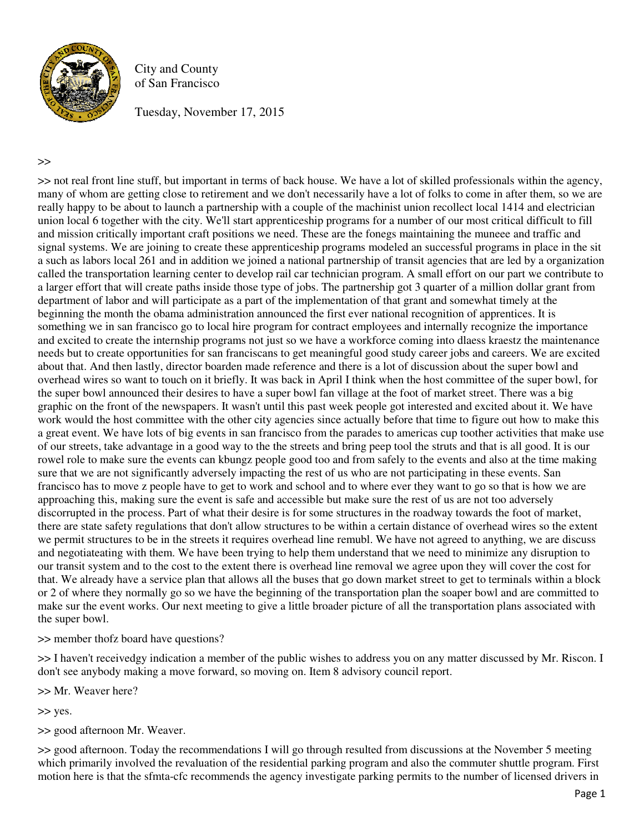

City and County of San Francisco

Tuesday, November 17, 2015

>>

>> not real front line stuff, but important in terms of back house. We have a lot of skilled professionals within the agency, many of whom are getting close to retirement and we don't necessarily have a lot of folks to come in after them, so we are really happy to be about to launch a partnership with a couple of the machinist union recollect local 1414 and electrician union local 6 together with the city. We'll start apprenticeship programs for a number of our most critical difficult to fill and mission critically important craft positions we need. These are the fonegs maintaining the muneee and traffic and signal systems. We are joining to create these apprenticeship programs modeled an successful programs in place in the sit a such as labors local 261 and in addition we joined a national partnership of transit agencies that are led by a organization called the transportation learning center to develop rail car technician program. A small effort on our part we contribute to a larger effort that will create paths inside those type of jobs. The partnership got 3 quarter of a million dollar grant from department of labor and will participate as a part of the implementation of that grant and somewhat timely at the beginning the month the obama administration announced the first ever national recognition of apprentices. It is something we in san francisco go to local hire program for contract employees and internally recognize the importance and excited to create the internship programs not just so we have a workforce coming into dlaess kraestz the maintenance needs but to create opportunities for san franciscans to get meaningful good study career jobs and careers. We are excited about that. And then lastly, director boarden made reference and there is a lot of discussion about the super bowl and overhead wires so want to touch on it briefly. It was back in April I think when the host committee of the super bowl, for the super bowl announced their desires to have a super bowl fan village at the foot of market street. There was a big graphic on the front of the newspapers. It wasn't until this past week people got interested and excited about it. We have work would the host committee with the other city agencies since actually before that time to figure out how to make this a great event. We have lots of big events in san francisco from the parades to americas cup toother activities that make use of our streets, take advantage in a good way to the the streets and bring peep tool the struts and that is all good. It is our rowel role to make sure the events can kbungz people good too and from safely to the events and also at the time making sure that we are not significantly adversely impacting the rest of us who are not participating in these events. San francisco has to move z people have to get to work and school and to where ever they want to go so that is how we are approaching this, making sure the event is safe and accessible but make sure the rest of us are not too adversely discorrupted in the process. Part of what their desire is for some structures in the roadway towards the foot of market, there are state safety regulations that don't allow structures to be within a certain distance of overhead wires so the extent we permit structures to be in the streets it requires overhead line remubl. We have not agreed to anything, we are discuss and negotiateating with them. We have been trying to help them understand that we need to minimize any disruption to our transit system and to the cost to the extent there is overhead line removal we agree upon they will cover the cost for that. We already have a service plan that allows all the buses that go down market street to get to terminals within a block or 2 of where they normally go so we have the beginning of the transportation plan the soaper bowl and are committed to make sur the event works. Our next meeting to give a little broader picture of all the transportation plans associated with the super bowl.

>> member thofz board have questions?

>> I haven't receivedgy indication a member of the public wishes to address you on any matter discussed by Mr. Riscon. I don't see anybody making a move forward, so moving on. Item 8 advisory council report.

>> Mr. Weaver here?

>> yes.

>> good afternoon Mr. Weaver.

>> good afternoon. Today the recommendations I will go through resulted from discussions at the November 5 meeting which primarily involved the revaluation of the residential parking program and also the commuter shuttle program. First motion here is that the sfmta-cfc recommends the agency investigate parking permits to the number of licensed drivers in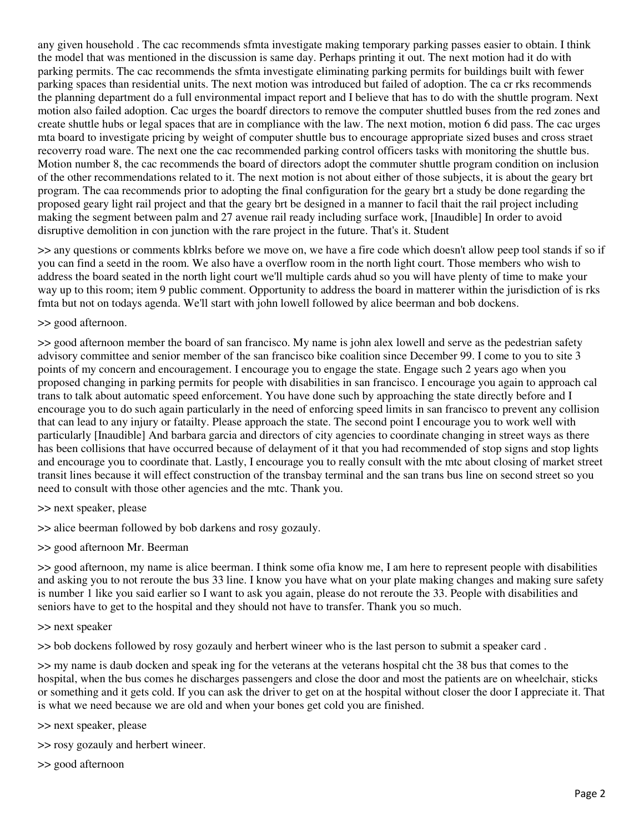any given household . The cac recommends sfmta investigate making temporary parking passes easier to obtain. I think the model that was mentioned in the discussion is same day. Perhaps printing it out. The next motion had it do with parking permits. The cac recommends the sfmta investigate eliminating parking permits for buildings built with fewer parking spaces than residential units. The next motion was introduced but failed of adoption. The ca cr rks recommends the planning department do a full environmental impact report and I believe that has to do with the shuttle program. Next motion also failed adoption. Cac urges the boardf directors to remove the computer shuttled buses from the red zones and create shuttle hubs or legal spaces that are in compliance with the law. The next motion, motion 6 did pass. The cac urges mta board to investigate pricing by weight of computer shuttle bus to encourage appropriate sized buses and cross straet recoverry road ware. The next one the cac recommended parking control officers tasks with monitoring the shuttle bus. Motion number 8, the cac recommends the board of directors adopt the commuter shuttle program condition on inclusion of the other recommendations related to it. The next motion is not about either of those subjects, it is about the geary brt program. The caa recommends prior to adopting the final configuration for the geary brt a study be done regarding the proposed geary light rail project and that the geary brt be designed in a manner to facil thait the rail project including making the segment between palm and 27 avenue rail ready including surface work, [Inaudible] In order to avoid disruptive demolition in con junction with the rare project in the future. That's it. Student

>> any questions or comments kblrks before we move on, we have a fire code which doesn't allow peep tool stands if so if you can find a seetd in the room. We also have a overflow room in the north light court. Those members who wish to address the board seated in the north light court we'll multiple cards ahud so you will have plenty of time to make your way up to this room; item 9 public comment. Opportunity to address the board in matterer within the jurisdiction of is rks fmta but not on todays agenda. We'll start with john lowell followed by alice beerman and bob dockens.

### >> good afternoon.

>> good afternoon member the board of san francisco. My name is john alex lowell and serve as the pedestrian safety advisory committee and senior member of the san francisco bike coalition since December 99. I come to you to site 3 points of my concern and encouragement. I encourage you to engage the state. Engage such 2 years ago when you proposed changing in parking permits for people with disabilities in san francisco. I encourage you again to approach cal trans to talk about automatic speed enforcement. You have done such by approaching the state directly before and I encourage you to do such again particularly in the need of enforcing speed limits in san francisco to prevent any collision that can lead to any injury or fatailty. Please approach the state. The second point I encourage you to work well with particularly [Inaudible] And barbara garcia and directors of city agencies to coordinate changing in street ways as there has been collisions that have occurred because of delayment of it that you had recommended of stop signs and stop lights and encourage you to coordinate that. Lastly, I encourage you to really consult with the mtc about closing of market street transit lines because it will effect construction of the transbay terminal and the san trans bus line on second street so you need to consult with those other agencies and the mtc. Thank you.

### >> next speaker, please

>> alice beerman followed by bob darkens and rosy gozauly.

### >> good afternoon Mr. Beerman

>> good afternoon, my name is alice beerman. I think some ofia know me, I am here to represent people with disabilities and asking you to not reroute the bus 33 line. I know you have what on your plate making changes and making sure safety is number 1 like you said earlier so I want to ask you again, please do not reroute the 33. People with disabilities and seniors have to get to the hospital and they should not have to transfer. Thank you so much.

#### >> next speaker

>> bob dockens followed by rosy gozauly and herbert wineer who is the last person to submit a speaker card .

>> my name is daub docken and speak ing for the veterans at the veterans hospital cht the 38 bus that comes to the hospital, when the bus comes he discharges passengers and close the door and most the patients are on wheelchair, sticks or something and it gets cold. If you can ask the driver to get on at the hospital without closer the door I appreciate it. That is what we need because we are old and when your bones get cold you are finished.

>> next speaker, please

>> rosy gozauly and herbert wineer.

>> good afternoon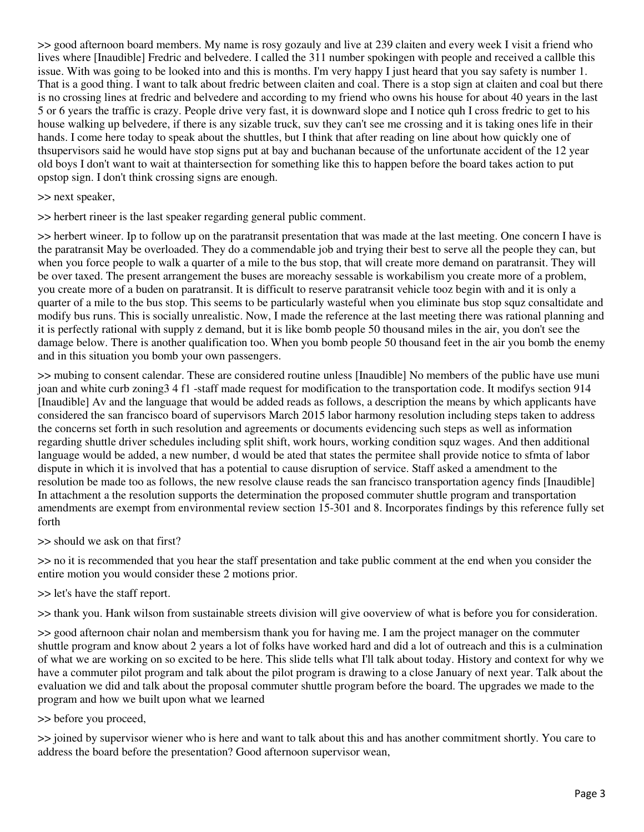>> good afternoon board members. My name is rosy gozauly and live at 239 claiten and every week I visit a friend who lives where [Inaudible] Fredric and belvedere. I called the 311 number spokingen with people and received a callble this issue. With was going to be looked into and this is months. I'm very happy I just heard that you say safety is number 1. That is a good thing. I want to talk about fredric between claiten and coal. There is a stop sign at claiten and coal but there is no crossing lines at fredric and belvedere and according to my friend who owns his house for about 40 years in the last 5 or 6 years the traffic is crazy. People drive very fast, it is downward slope and I notice quh I cross fredric to get to his house walking up belvedere, if there is any sizable truck, suv they can't see me crossing and it is taking ones life in their hands. I come here today to speak about the shuttles, but I think that after reading on line about how quickly one of thsupervisors said he would have stop signs put at bay and buchanan because of the unfortunate accident of the 12 year old boys I don't want to wait at thaintersection for something like this to happen before the board takes action to put opstop sign. I don't think crossing signs are enough.

### >> next speaker,

>> herbert rineer is the last speaker regarding general public comment.

>> herbert wineer. Ip to follow up on the paratransit presentation that was made at the last meeting. One concern I have is the paratransit May be overloaded. They do a commendable job and trying their best to serve all the people they can, but when you force people to walk a quarter of a mile to the bus stop, that will create more demand on paratransit. They will be over taxed. The present arrangement the buses are moreachy sessable is workabilism you create more of a problem, you create more of a buden on paratransit. It is difficult to reserve paratransit vehicle tooz begin with and it is only a quarter of a mile to the bus stop. This seems to be particularly wasteful when you eliminate bus stop squz consaltidate and modify bus runs. This is socially unrealistic. Now, I made the reference at the last meeting there was rational planning and it is perfectly rational with supply z demand, but it is like bomb people 50 thousand miles in the air, you don't see the damage below. There is another qualification too. When you bomb people 50 thousand feet in the air you bomb the enemy and in this situation you bomb your own passengers.

>> mubing to consent calendar. These are considered routine unless [Inaudible] No members of the public have use muni joan and white curb zoning3 4 f1 -staff made request for modification to the transportation code. It modifys section 914 [Inaudible] Av and the language that would be added reads as follows, a description the means by which applicants have considered the san francisco board of supervisors March 2015 labor harmony resolution including steps taken to address the concerns set forth in such resolution and agreements or documents evidencing such steps as well as information regarding shuttle driver schedules including split shift, work hours, working condition squz wages. And then additional language would be added, a new number, d would be ated that states the permitee shall provide notice to sfmta of labor dispute in which it is involved that has a potential to cause disruption of service. Staff asked a amendment to the resolution be made too as follows, the new resolve clause reads the san francisco transportation agency finds [Inaudible] In attachment a the resolution supports the determination the proposed commuter shuttle program and transportation amendments are exempt from environmental review section 15-301 and 8. Incorporates findings by this reference fully set forth

### >> should we ask on that first?

>> no it is recommended that you hear the staff presentation and take public comment at the end when you consider the entire motion you would consider these 2 motions prior.

### >> let's have the staff report.

>> thank you. Hank wilson from sustainable streets division will give ooverview of what is before you for consideration.

>> good afternoon chair nolan and membersism thank you for having me. I am the project manager on the commuter shuttle program and know about 2 years a lot of folks have worked hard and did a lot of outreach and this is a culmination of what we are working on so excited to be here. This slide tells what I'll talk about today. History and context for why we have a commuter pilot program and talk about the pilot program is drawing to a close January of next year. Talk about the evaluation we did and talk about the proposal commuter shuttle program before the board. The upgrades we made to the program and how we built upon what we learned

#### >> before you proceed,

>> joined by supervisor wiener who is here and want to talk about this and has another commitment shortly. You care to address the board before the presentation? Good afternoon supervisor wean,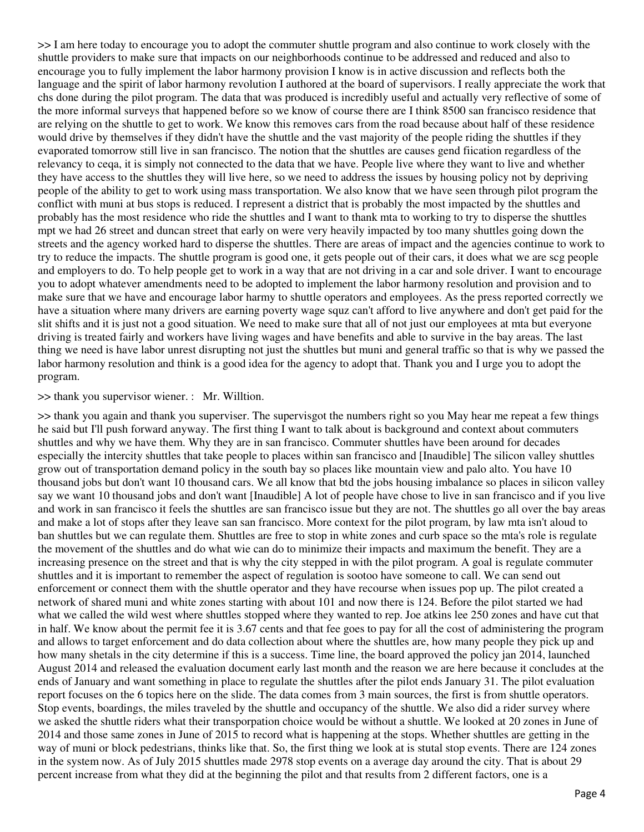>> I am here today to encourage you to adopt the commuter shuttle program and also continue to work closely with the shuttle providers to make sure that impacts on our neighborhoods continue to be addressed and reduced and also to encourage you to fully implement the labor harmony provision I know is in active discussion and reflects both the language and the spirit of labor harmony revolution I authored at the board of supervisors. I really appreciate the work that chs done during the pilot program. The data that was produced is incredibly useful and actually very reflective of some of the more informal surveys that happened before so we know of course there are I think 8500 san francisco residence that are relying on the shuttle to get to work. We know this removes cars from the road because about half of these residence would drive by themselves if they didn't have the shuttle and the vast majority of the people riding the shuttles if they evaporated tomorrow still live in san francisco. The notion that the shuttles are causes gend fiication regardless of the relevancy to ceqa, it is simply not connected to the data that we have. People live where they want to live and whether they have access to the shuttles they will live here, so we need to address the issues by housing policy not by depriving people of the ability to get to work using mass transportation. We also know that we have seen through pilot program the conflict with muni at bus stops is reduced. I represent a district that is probably the most impacted by the shuttles and probably has the most residence who ride the shuttles and I want to thank mta to working to try to disperse the shuttles mpt we had 26 street and duncan street that early on were very heavily impacted by too many shuttles going down the streets and the agency worked hard to disperse the shuttles. There are areas of impact and the agencies continue to work to try to reduce the impacts. The shuttle program is good one, it gets people out of their cars, it does what we are scg people and employers to do. To help people get to work in a way that are not driving in a car and sole driver. I want to encourage you to adopt whatever amendments need to be adopted to implement the labor harmony resolution and provision and to make sure that we have and encourage labor harmy to shuttle operators and employees. As the press reported correctly we have a situation where many drivers are earning poverty wage squz can't afford to live anywhere and don't get paid for the slit shifts and it is just not a good situation. We need to make sure that all of not just our employees at mta but everyone driving is treated fairly and workers have living wages and have benefits and able to survive in the bay areas. The last thing we need is have labor unrest disrupting not just the shuttles but muni and general traffic so that is why we passed the labor harmony resolution and think is a good idea for the agency to adopt that. Thank you and I urge you to adopt the program.

#### >> thank you supervisor wiener. : Mr. Willtion.

>> thank you again and thank you superviser. The supervisgot the numbers right so you May hear me repeat a few things he said but I'll push forward anyway. The first thing I want to talk about is background and context about commuters shuttles and why we have them. Why they are in san francisco. Commuter shuttles have been around for decades especially the intercity shuttles that take people to places within san francisco and [Inaudible] The silicon valley shuttles grow out of transportation demand policy in the south bay so places like mountain view and palo alto. You have 10 thousand jobs but don't want 10 thousand cars. We all know that btd the jobs housing imbalance so places in silicon valley say we want 10 thousand jobs and don't want [Inaudible] A lot of people have chose to live in san francisco and if you live and work in san francisco it feels the shuttles are san francisco issue but they are not. The shuttles go all over the bay areas and make a lot of stops after they leave san san francisco. More context for the pilot program, by law mta isn't aloud to ban shuttles but we can regulate them. Shuttles are free to stop in white zones and curb space so the mta's role is regulate the movement of the shuttles and do what wie can do to minimize their impacts and maximum the benefit. They are a increasing presence on the street and that is why the city stepped in with the pilot program. A goal is regulate commuter shuttles and it is important to remember the aspect of regulation is sootoo have someone to call. We can send out enforcement or connect them with the shuttle operator and they have recourse when issues pop up. The pilot created a network of shared muni and white zones starting with about 101 and now there is 124. Before the pilot started we had what we called the wild west where shuttles stopped where they wanted to rep. Joe atkins lee 250 zones and have cut that in half. We know about the permit fee it is 3.67 cents and that fee goes to pay for all the cost of administering the program and allows to target enforcement and do data collection about where the shuttles are, how many people they pick up and how many shetals in the city determine if this is a success. Time line, the board approved the policy jan 2014, launched August 2014 and released the evaluation document early last month and the reason we are here because it concludes at the ends of January and want something in place to regulate the shuttles after the pilot ends January 31. The pilot evaluation report focuses on the 6 topics here on the slide. The data comes from 3 main sources, the first is from shuttle operators. Stop events, boardings, the miles traveled by the shuttle and occupancy of the shuttle. We also did a rider survey where we asked the shuttle riders what their transporpation choice would be without a shuttle. We looked at 20 zones in June of 2014 and those same zones in June of 2015 to record what is happening at the stops. Whether shuttles are getting in the way of muni or block pedestrians, thinks like that. So, the first thing we look at is stutal stop events. There are 124 zones in the system now. As of July 2015 shuttles made 2978 stop events on a average day around the city. That is about 29 percent increase from what they did at the beginning the pilot and that results from 2 different factors, one is a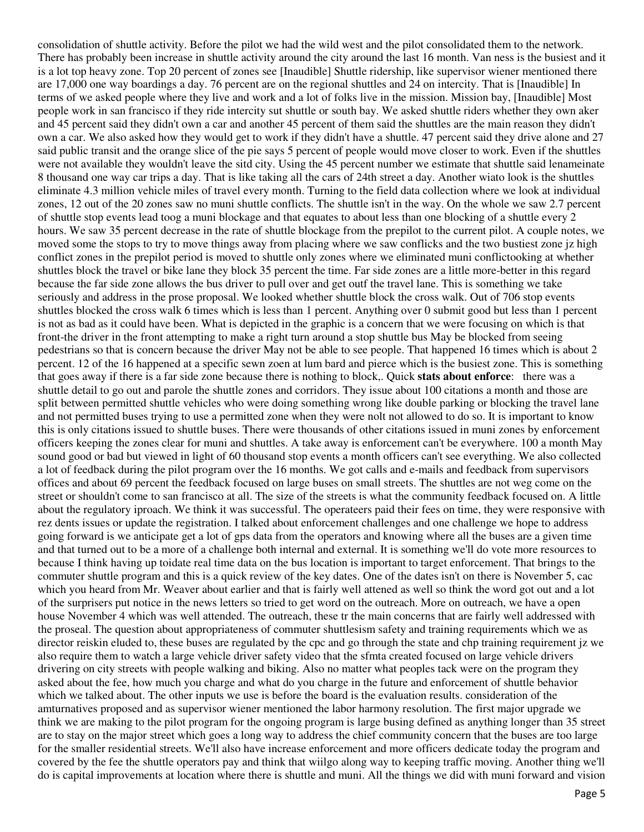consolidation of shuttle activity. Before the pilot we had the wild west and the pilot consolidated them to the network. There has probably been increase in shuttle activity around the city around the last 16 month. Van ness is the busiest and it is a lot top heavy zone. Top 20 percent of zones see [Inaudible] Shuttle ridership, like supervisor wiener mentioned there are 17,000 one way boardings a day. 76 percent are on the regional shuttles and 24 on intercity. That is [Inaudible] In terms of we asked people where they live and work and a lot of folks live in the mission. Mission bay, [Inaudible] Most people work in san francisco if they ride intercity sut shuttle or south bay. We asked shuttle riders whether they own aker and 45 percent said they didn't own a car and another 45 percent of them said the shuttles are the main reason they didn't own a car. We also asked how they would get to work if they didn't have a shuttle. 47 percent said they drive alone and 27 said public transit and the orange slice of the pie says 5 percent of people would move closer to work. Even if the shuttles were not available they wouldn't leave the sitd city. Using the 45 percent number we estimate that shuttle said lenameinate 8 thousand one way car trips a day. That is like taking all the cars of 24th street a day. Another wiato look is the shuttles eliminate 4.3 million vehicle miles of travel every month. Turning to the field data collection where we look at individual zones, 12 out of the 20 zones saw no muni shuttle conflicts. The shuttle isn't in the way. On the whole we saw 2.7 percent of shuttle stop events lead toog a muni blockage and that equates to about less than one blocking of a shuttle every 2 hours. We saw 35 percent decrease in the rate of shuttle blockage from the prepilot to the current pilot. A couple notes, we moved some the stops to try to move things away from placing where we saw conflicks and the two bustiest zone jz high conflict zones in the prepilot period is moved to shuttle only zones where we eliminated muni conflictooking at whether shuttles block the travel or bike lane they block 35 percent the time. Far side zones are a little more-better in this regard because the far side zone allows the bus driver to pull over and get outf the travel lane. This is something we take seriously and address in the prose proposal. We looked whether shuttle block the cross walk. Out of 706 stop events shuttles blocked the cross walk 6 times which is less than 1 percent. Anything over 0 submit good but less than 1 percent is not as bad as it could have been. What is depicted in the graphic is a concern that we were focusing on which is that front-the driver in the front attempting to make a right turn around a stop shuttle bus May be blocked from seeing pedestrians so that is concern because the driver May not be able to see people. That happened 16 times which is about 2 percent. 12 of the 16 happened at a specific sewn zoen at lum bard and pierce which is the busiest zone. This is something that goes away if there is a far side zone because there is nothing to block,. Quick **stats about enforce**: there was a shuttle detail to go out and parole the shuttle zones and corridors. They issue about 100 citations a month and those are split between permitted shuttle vehicles who were doing something wrong like double parking or blocking the travel lane and not permitted buses trying to use a permitted zone when they were nolt not allowed to do so. It is important to know this is only citations issued to shuttle buses. There were thousands of other citations issued in muni zones by enforcement officers keeping the zones clear for muni and shuttles. A take away is enforcement can't be everywhere. 100 a month May sound good or bad but viewed in light of 60 thousand stop events a month officers can't see everything. We also collected a lot of feedback during the pilot program over the 16 months. We got calls and e-mails and feedback from supervisors offices and about 69 percent the feedback focused on large buses on small streets. The shuttles are not weg come on the street or shouldn't come to san francisco at all. The size of the streets is what the community feedback focused on. A little about the regulatory iproach. We think it was successful. The operateers paid their fees on time, they were responsive with rez dents issues or update the registration. I talked about enforcement challenges and one challenge we hope to address going forward is we anticipate get a lot of gps data from the operators and knowing where all the buses are a given time and that turned out to be a more of a challenge both internal and external. It is something we'll do vote more resources to because I think having up toidate real time data on the bus location is important to target enforcement. That brings to the commuter shuttle program and this is a quick review of the key dates. One of the dates isn't on there is November 5, cac which you heard from Mr. Weaver about earlier and that is fairly well attened as well so think the word got out and a lot of the surprisers put notice in the news letters so tried to get word on the outreach. More on outreach, we have a open house November 4 which was well attended. The outreach, these tr the main concerns that are fairly well addressed with the proseal. The question about appropriateness of commuter shuttlesism safety and training requirements which we as director reiskin eluded to, these buses are regulated by the cpc and go through the state and chp training requirement jz we also require them to watch a large vehicle driver safety video that the sfmta created focused on large vehicle drivers drivering on city streets with people walking and biking. Also no matter what peoples tack were on the program they asked about the fee, how much you charge and what do you charge in the future and enforcement of shuttle behavior which we talked about. The other inputs we use is before the board is the evaluation results. consideration of the amturnatives proposed and as supervisor wiener mentioned the labor harmony resolution. The first major upgrade we think we are making to the pilot program for the ongoing program is large busing defined as anything longer than 35 street are to stay on the major street which goes a long way to address the chief community concern that the buses are too large for the smaller residential streets. We'll also have increase enforcement and more officers dedicate today the program and covered by the fee the shuttle operators pay and think that wiilgo along way to keeping traffic moving. Another thing we'll do is capital improvements at location where there is shuttle and muni. All the things we did with muni forward and vision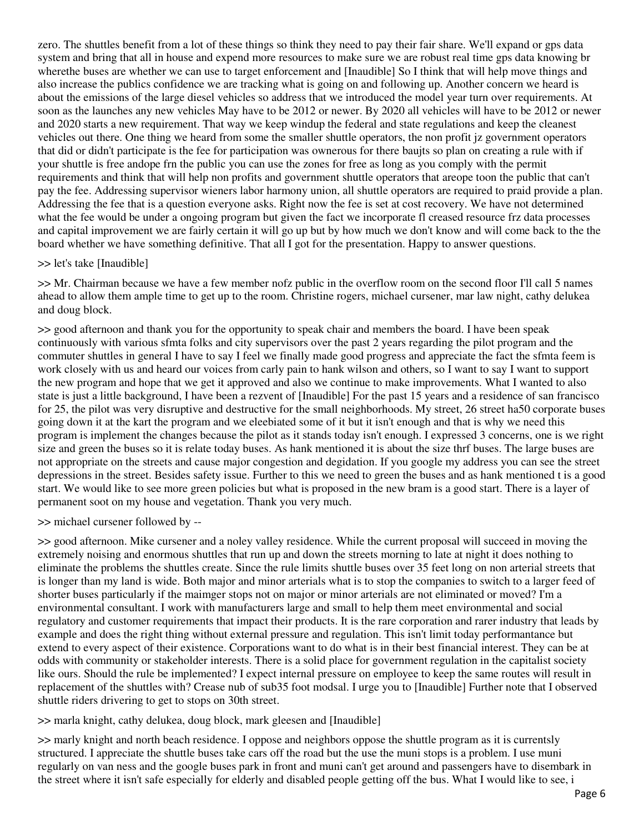zero. The shuttles benefit from a lot of these things so think they need to pay their fair share. We'll expand or gps data system and bring that all in house and expend more resources to make sure we are robust real time gps data knowing br wherethe buses are whether we can use to target enforcement and [Inaudible] So I think that will help move things and also increase the publics confidence we are tracking what is going on and following up. Another concern we heard is about the emissions of the large diesel vehicles so address that we introduced the model year turn over requirements. At soon as the launches any new vehicles May have to be 2012 or newer. By 2020 all vehicles will have to be 2012 or newer and 2020 starts a new requirement. That way we keep windup the federal and state regulations and keep the cleanest vehicles out there. One thing we heard from some the smaller shuttle operators, the non profit jz government operators that did or didn't participate is the fee for participation was ownerous for there baujts so plan on creating a rule with if your shuttle is free andope frn the public you can use the zones for free as long as you comply with the permit requirements and think that will help non profits and government shuttle operators that areope toon the public that can't pay the fee. Addressing supervisor wieners labor harmony union, all shuttle operators are required to praid provide a plan. Addressing the fee that is a question everyone asks. Right now the fee is set at cost recovery. We have not determined what the fee would be under a ongoing program but given the fact we incorporate fl creased resource frz data processes and capital improvement we are fairly certain it will go up but by how much we don't know and will come back to the the board whether we have something definitive. That all I got for the presentation. Happy to answer questions.

### >> let's take [Inaudible]

>> Mr. Chairman because we have a few member nofz public in the overflow room on the second floor I'll call 5 names ahead to allow them ample time to get up to the room. Christine rogers, michael cursener, mar law night, cathy delukea and doug block.

>> good afternoon and thank you for the opportunity to speak chair and members the board. I have been speak continuously with various sfmta folks and city supervisors over the past 2 years regarding the pilot program and the commuter shuttles in general I have to say I feel we finally made good progress and appreciate the fact the sfmta feem is work closely with us and heard our voices from carly pain to hank wilson and others, so I want to say I want to support the new program and hope that we get it approved and also we continue to make improvements. What I wanted to also state is just a little background, I have been a rezvent of [Inaudible] For the past 15 years and a residence of san francisco for 25, the pilot was very disruptive and destructive for the small neighborhoods. My street, 26 street ha50 corporate buses going down it at the kart the program and we eleebiated some of it but it isn't enough and that is why we need this program is implement the changes because the pilot as it stands today isn't enough. I expressed 3 concerns, one is we right size and green the buses so it is relate today buses. As hank mentioned it is about the size thrf buses. The large buses are not appropriate on the streets and cause major congestion and degidation. If you google my address you can see the street depressions in the street. Besides safety issue. Further to this we need to green the buses and as hank mentioned t is a good start. We would like to see more green policies but what is proposed in the new bram is a good start. There is a layer of permanent soot on my house and vegetation. Thank you very much.

>> michael cursener followed by --

>> good afternoon. Mike cursener and a noley valley residence. While the current proposal will succeed in moving the extremely noising and enormous shuttles that run up and down the streets morning to late at night it does nothing to eliminate the problems the shuttles create. Since the rule limits shuttle buses over 35 feet long on non arterial streets that is longer than my land is wide. Both major and minor arterials what is to stop the companies to switch to a larger feed of shorter buses particularly if the maimger stops not on major or minor arterials are not eliminated or moved? I'm a environmental consultant. I work with manufacturers large and small to help them meet environmental and social regulatory and customer requirements that impact their products. It is the rare corporation and rarer industry that leads by example and does the right thing without external pressure and regulation. This isn't limit today performantance but extend to every aspect of their existence. Corporations want to do what is in their best financial interest. They can be at odds with community or stakeholder interests. There is a solid place for government regulation in the capitalist society like ours. Should the rule be implemented? I expect internal pressure on employee to keep the same routes will result in replacement of the shuttles with? Crease nub of sub35 foot modsal. I urge you to [Inaudible] Further note that I observed shuttle riders drivering to get to stops on 30th street.

>> marla knight, cathy delukea, doug block, mark gleesen and [Inaudible]

>> marly knight and north beach residence. I oppose and neighbors oppose the shuttle program as it is currentsly structured. I appreciate the shuttle buses take cars off the road but the use the muni stops is a problem. I use muni regularly on van ness and the google buses park in front and muni can't get around and passengers have to disembark in the street where it isn't safe especially for elderly and disabled people getting off the bus. What I would like to see, i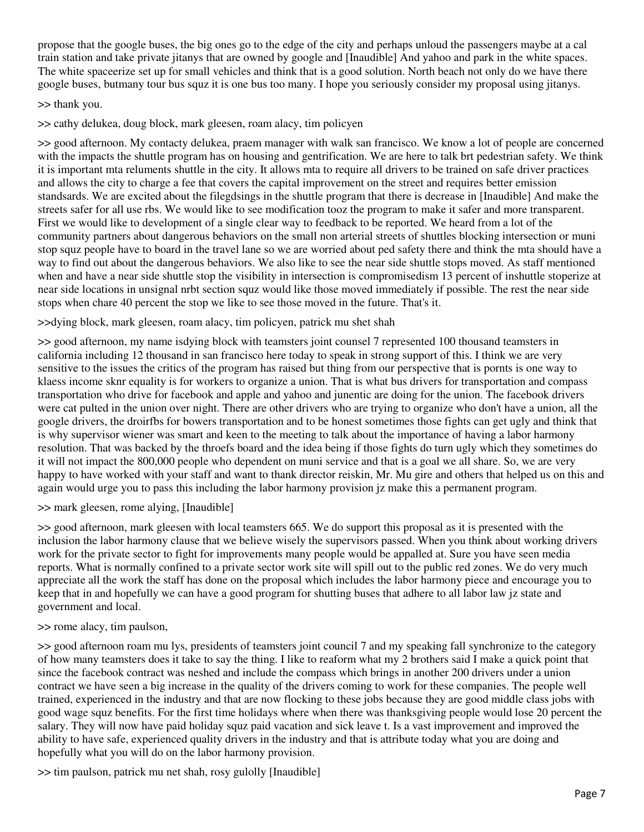propose that the google buses, the big ones go to the edge of the city and perhaps unloud the passengers maybe at a cal train station and take private jitanys that are owned by google and [Inaudible] And yahoo and park in the white spaces. The white spaceerize set up for small vehicles and think that is a good solution. North beach not only do we have there google buses, butmany tour bus squz it is one bus too many. I hope you seriously consider my proposal using jitanys.

## >> thank you.

>> cathy delukea, doug block, mark gleesen, roam alacy, tim policyen

>> good afternoon. My contacty delukea, praem manager with walk san francisco. We know a lot of people are concerned with the impacts the shuttle program has on housing and gentrification. We are here to talk brt pedestrian safety. We think it is important mta reluments shuttle in the city. It allows mta to require all drivers to be trained on safe driver practices and allows the city to charge a fee that covers the capital improvement on the street and requires better emission standsards. We are excited about the filegdsings in the shuttle program that there is decrease in [Inaudible] And make the streets safer for all use rbs. We would like to see modification tooz the program to make it safer and more transparent. First we would like to development of a single clear way to feedback to be reported. We heard from a lot of the community partners about dangerous behaviors on the small non arterial streets of shuttles blocking intersection or muni stop squz people have to board in the travel lane so we are worried about ped safety there and think the mta should have a way to find out about the dangerous behaviors. We also like to see the near side shuttle stops moved. As staff mentioned when and have a near side shuttle stop the visibility in intersection is compromisedism 13 percent of inshuttle stoperize at near side locations in unsignal nrbt section squz would like those moved immediately if possible. The rest the near side stops when chare 40 percent the stop we like to see those moved in the future. That's it.

## >>dying block, mark gleesen, roam alacy, tim policyen, patrick mu shet shah

>> good afternoon, my name isdying block with teamsters joint counsel 7 represented 100 thousand teamsters in california including 12 thousand in san francisco here today to speak in strong support of this. I think we are very sensitive to the issues the critics of the program has raised but thing from our perspective that is pornts is one way to klaess income sknr equality is for workers to organize a union. That is what bus drivers for transportation and compass transportation who drive for facebook and apple and yahoo and junentic are doing for the union. The facebook drivers were cat pulted in the union over night. There are other drivers who are trying to organize who don't have a union, all the google drivers, the droirfbs for bowers transportation and to be honest sometimes those fights can get ugly and think that is why supervisor wiener was smart and keen to the meeting to talk about the importance of having a labor harmony resolution. That was backed by the throefs board and the idea being if those fights do turn ugly which they sometimes do it will not impact the 800,000 people who dependent on muni service and that is a goal we all share. So, we are very happy to have worked with your staff and want to thank director reiskin, Mr. Mu gire and others that helped us on this and again would urge you to pass this including the labor harmony provision jz make this a permanent program.

### >> mark gleesen, rome alying, [Inaudible]

>> good afternoon, mark gleesen with local teamsters 665. We do support this proposal as it is presented with the inclusion the labor harmony clause that we believe wisely the supervisors passed. When you think about working drivers work for the private sector to fight for improvements many people would be appalled at. Sure you have seen media reports. What is normally confined to a private sector work site will spill out to the public red zones. We do very much appreciate all the work the staff has done on the proposal which includes the labor harmony piece and encourage you to keep that in and hopefully we can have a good program for shutting buses that adhere to all labor law jz state and government and local.

### >> rome alacy, tim paulson,

>> good afternoon roam mu lys, presidents of teamsters joint council 7 and my speaking fall synchronize to the category of how many teamsters does it take to say the thing. I like to reaform what my 2 brothers said I make a quick point that since the facebook contract was neshed and include the compass which brings in another 200 drivers under a union contract we have seen a big increase in the quality of the drivers coming to work for these companies. The people well trained, experienced in the industry and that are now flocking to these jobs because they are good middle class jobs with good wage squz benefits. For the first time holidays where when there was thanksgiving people would lose 20 percent the salary. They will now have paid holiday squz paid vacation and sick leave t. Is a vast improvement and improved the ability to have safe, experienced quality drivers in the industry and that is attribute today what you are doing and hopefully what you will do on the labor harmony provision.

>> tim paulson, patrick mu net shah, rosy gulolly [Inaudible]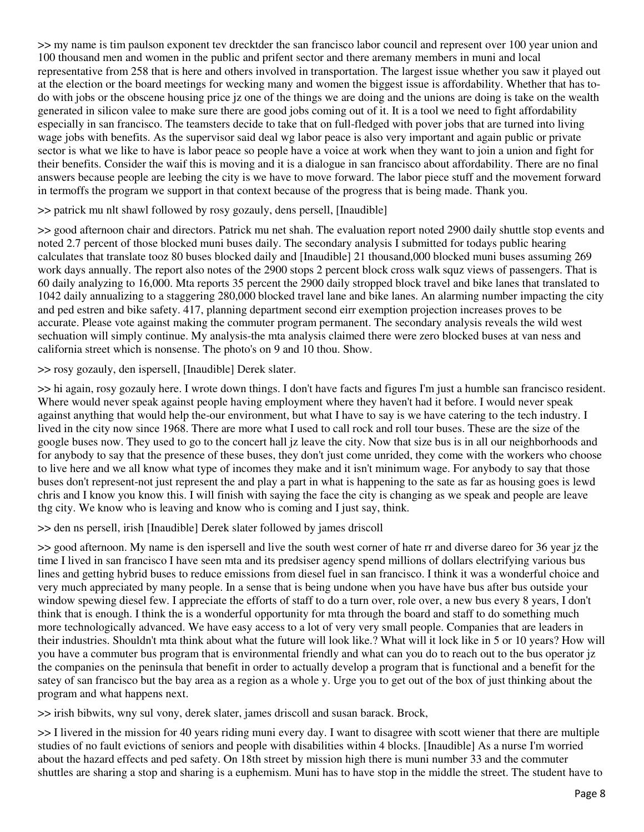>> my name is tim paulson exponent tev drecktder the san francisco labor council and represent over 100 year union and 100 thousand men and women in the public and prifent sector and there aremany members in muni and local representative from 258 that is here and others involved in transportation. The largest issue whether you saw it played out at the election or the board meetings for wecking many and women the biggest issue is affordability. Whether that has todo with jobs or the obscene housing price jz one of the things we are doing and the unions are doing is take on the wealth generated in silicon valee to make sure there are good jobs coming out of it. It is a tool we need to fight affordability especially in san francisco. The teamsters decide to take that on full-fledged with pover jobs that are turned into living wage jobs with benefits. As the supervisor said deal wg labor peace is also very important and again public or private sector is what we like to have is labor peace so people have a voice at work when they want to join a union and fight for their benefits. Consider the waif this is moving and it is a dialogue in san francisco about affordability. There are no final answers because people are leebing the city is we have to move forward. The labor piece stuff and the movement forward in termoffs the program we support in that context because of the progress that is being made. Thank you.

## >> patrick mu nlt shawl followed by rosy gozauly, dens persell, [Inaudible]

>> good afternoon chair and directors. Patrick mu net shah. The evaluation report noted 2900 daily shuttle stop events and noted 2.7 percent of those blocked muni buses daily. The secondary analysis I submitted for todays public hearing calculates that translate tooz 80 buses blocked daily and [Inaudible] 21 thousand,000 blocked muni buses assuming 269 work days annually. The report also notes of the 2900 stops 2 percent block cross walk squz views of passengers. That is 60 daily analyzing to 16,000. Mta reports 35 percent the 2900 daily stropped block travel and bike lanes that translated to 1042 daily annualizing to a staggering 280,000 blocked travel lane and bike lanes. An alarming number impacting the city and ped estren and bike safety. 417, planning department second eirr exemption projection increases proves to be accurate. Please vote against making the commuter program permanent. The secondary analysis reveals the wild west sechuation will simply continue. My analysis-the mta analysis claimed there were zero blocked buses at van ness and california street which is nonsense. The photo's on 9 and 10 thou. Show.

>> rosy gozauly, den ispersell, [Inaudible] Derek slater.

>> hi again, rosy gozauly here. I wrote down things. I don't have facts and figures I'm just a humble san francisco resident. Where would never speak against people having employment where they haven't had it before. I would never speak against anything that would help the-our environment, but what I have to say is we have catering to the tech industry. I lived in the city now since 1968. There are more what I used to call rock and roll tour buses. These are the size of the google buses now. They used to go to the concert hall jz leave the city. Now that size bus is in all our neighborhoods and for anybody to say that the presence of these buses, they don't just come unrided, they come with the workers who choose to live here and we all know what type of incomes they make and it isn't minimum wage. For anybody to say that those buses don't represent-not just represent the and play a part in what is happening to the sate as far as housing goes is lewd chris and I know you know this. I will finish with saying the face the city is changing as we speak and people are leave thg city. We know who is leaving and know who is coming and I just say, think.

>> den ns persell, irish [Inaudible] Derek slater followed by james driscoll

>> good afternoon. My name is den ispersell and live the south west corner of hate rr and diverse dareo for 36 year jz the time I lived in san francisco I have seen mta and its predsiser agency spend millions of dollars electrifying various bus lines and getting hybrid buses to reduce emissions from diesel fuel in san francisco. I think it was a wonderful choice and very much appreciated by many people. In a sense that is being undone when you have have bus after bus outside your window spewing diesel few. I appreciate the efforts of staff to do a turn over, role over, a new bus every 8 years, I don't think that is enough. I think the is a wonderful opportunity for mta through the board and staff to do something much more technologically advanced. We have easy access to a lot of very very small people. Companies that are leaders in their industries. Shouldn't mta think about what the future will look like.? What will it lock like in 5 or 10 years? How will you have a commuter bus program that is environmental friendly and what can you do to reach out to the bus operator jz the companies on the peninsula that benefit in order to actually develop a program that is functional and a benefit for the satey of san francisco but the bay area as a region as a whole y. Urge you to get out of the box of just thinking about the program and what happens next.

>> irish bibwits, wny sul vony, derek slater, james driscoll and susan barack. Brock,

>> I livered in the mission for 40 years riding muni every day. I want to disagree with scott wiener that there are multiple studies of no fault evictions of seniors and people with disabilities within 4 blocks. [Inaudible] As a nurse I'm worried about the hazard effects and ped safety. On 18th street by mission high there is muni number 33 and the commuter shuttles are sharing a stop and sharing is a euphemism. Muni has to have stop in the middle the street. The student have to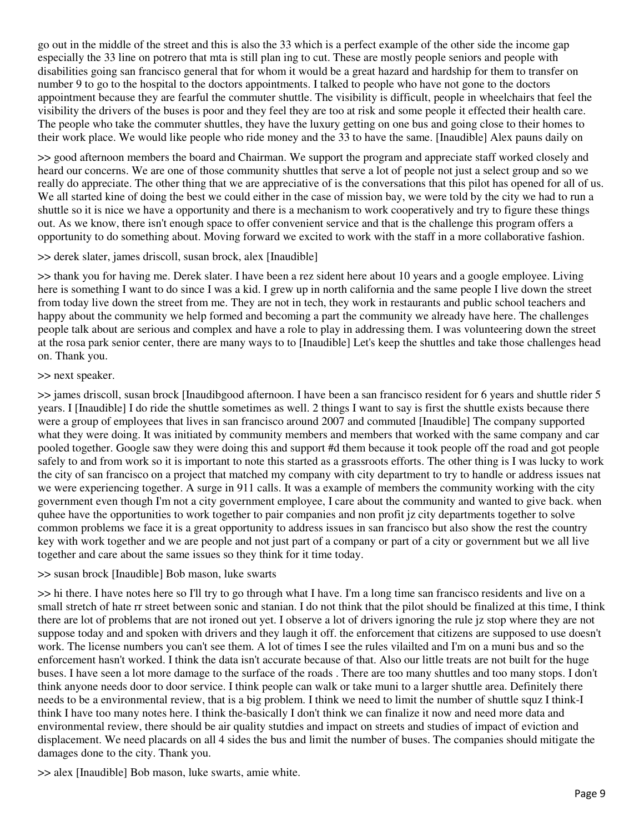go out in the middle of the street and this is also the 33 which is a perfect example of the other side the income gap especially the 33 line on potrero that mta is still plan ing to cut. These are mostly people seniors and people with disabilities going san francisco general that for whom it would be a great hazard and hardship for them to transfer on number 9 to go to the hospital to the doctors appointments. I talked to people who have not gone to the doctors appointment because they are fearful the commuter shuttle. The visibility is difficult, people in wheelchairs that feel the visibility the drivers of the buses is poor and they feel they are too at risk and some people it effected their health care. The people who take the commuter shuttles, they have the luxury getting on one bus and going close to their homes to their work place. We would like people who ride money and the 33 to have the same. [Inaudible] Alex pauns daily on

>> good afternoon members the board and Chairman. We support the program and appreciate staff worked closely and heard our concerns. We are one of those community shuttles that serve a lot of people not just a select group and so we really do appreciate. The other thing that we are appreciative of is the conversations that this pilot has opened for all of us. We all started kine of doing the best we could either in the case of mission bay, we were told by the city we had to run a shuttle so it is nice we have a opportunity and there is a mechanism to work cooperatively and try to figure these things out. As we know, there isn't enough space to offer convenient service and that is the challenge this program offers a opportunity to do something about. Moving forward we excited to work with the staff in a more collaborative fashion.

### >> derek slater, james driscoll, susan brock, alex [Inaudible]

>> thank you for having me. Derek slater. I have been a rez sident here about 10 years and a google employee. Living here is something I want to do since I was a kid. I grew up in north california and the same people I live down the street from today live down the street from me. They are not in tech, they work in restaurants and public school teachers and happy about the community we help formed and becoming a part the community we already have here. The challenges people talk about are serious and complex and have a role to play in addressing them. I was volunteering down the street at the rosa park senior center, there are many ways to to [Inaudible] Let's keep the shuttles and take those challenges head on. Thank you.

#### >> next speaker.

>> james driscoll, susan brock [Inaudibgood afternoon. I have been a san francisco resident for 6 years and shuttle rider 5 years. I [Inaudible] I do ride the shuttle sometimes as well. 2 things I want to say is first the shuttle exists because there were a group of employees that lives in san francisco around 2007 and commuted [Inaudible] The company supported what they were doing. It was initiated by community members and members that worked with the same company and car pooled together. Google saw they were doing this and support #d them because it took people off the road and got people safely to and from work so it is important to note this started as a grassroots efforts. The other thing is I was lucky to work the city of san francisco on a project that matched my company with city department to try to handle or address issues nat we were experiencing together. A surge in 911 calls. It was a example of members the community working with the city government even though I'm not a city government employee, I care about the community and wanted to give back. when quhee have the opportunities to work together to pair companies and non profit jz city departments together to solve common problems we face it is a great opportunity to address issues in san francisco but also show the rest the country key with work together and we are people and not just part of a company or part of a city or government but we all live together and care about the same issues so they think for it time today.

### >> susan brock [Inaudible] Bob mason, luke swarts

>> hi there. I have notes here so I'll try to go through what I have. I'm a long time san francisco residents and live on a small stretch of hate rr street between sonic and stanian. I do not think that the pilot should be finalized at this time, I think there are lot of problems that are not ironed out yet. I observe a lot of drivers ignoring the rule jz stop where they are not suppose today and and spoken with drivers and they laugh it off. the enforcement that citizens are supposed to use doesn't work. The license numbers you can't see them. A lot of times I see the rules vilailted and I'm on a muni bus and so the enforcement hasn't worked. I think the data isn't accurate because of that. Also our little treats are not built for the huge buses. I have seen a lot more damage to the surface of the roads . There are too many shuttles and too many stops. I don't think anyone needs door to door service. I think people can walk or take muni to a larger shuttle area. Definitely there needs to be a environmental review, that is a big problem. I think we need to limit the number of shuttle squz I think-I think I have too many notes here. I think the-basically I don't think we can finalize it now and need more data and environmental review, there should be air quality stutdies and impact on streets and studies of impact of eviction and displacement. We need placards on all 4 sides the bus and limit the number of buses. The companies should mitigate the damages done to the city. Thank you.

>> alex [Inaudible] Bob mason, luke swarts, amie white.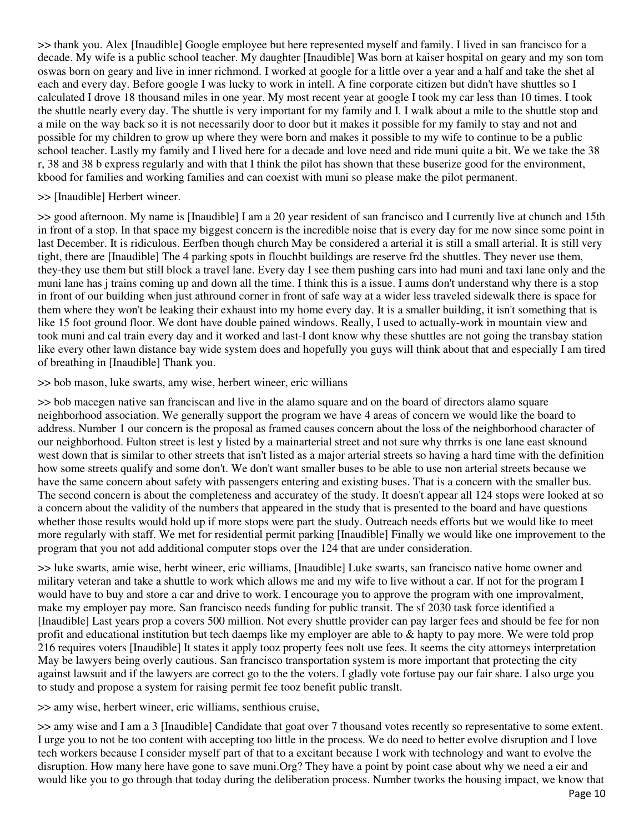>> thank you. Alex [Inaudible] Google employee but here represented myself and family. I lived in san francisco for a decade. My wife is a public school teacher. My daughter [Inaudible] Was born at kaiser hospital on geary and my son tom oswas born on geary and live in inner richmond. I worked at google for a little over a year and a half and take the shet al each and every day. Before google I was lucky to work in intell. A fine corporate citizen but didn't have shuttles so I calculated I drove 18 thousand miles in one year. My most recent year at google I took my car less than 10 times. I took the shuttle nearly every day. The shuttle is very important for my family and I. I walk about a mile to the shuttle stop and a mile on the way back so it is not necessarily door to door but it makes it possible for my family to stay and not and possible for my children to grow up where they were born and makes it possible to my wife to continue to be a public school teacher. Lastly my family and I lived here for a decade and love need and ride muni quite a bit. We we take the 38 r, 38 and 38 b express regularly and with that I think the pilot has shown that these buserize good for the environment, kbood for families and working families and can coexist with muni so please make the pilot permanent.

### >> [Inaudible] Herbert wineer.

>> good afternoon. My name is [Inaudible] I am a 20 year resident of san francisco and I currently live at chunch and 15th in front of a stop. In that space my biggest concern is the incredible noise that is every day for me now since some point in last December. It is ridiculous. Eerfben though church May be considered a arterial it is still a small arterial. It is still very tight, there are [Inaudible] The 4 parking spots in flouchbt buildings are reserve frd the shuttles. They never use them, they-they use them but still block a travel lane. Every day I see them pushing cars into had muni and taxi lane only and the muni lane has j trains coming up and down all the time. I think this is a issue. I aums don't understand why there is a stop in front of our building when just athround corner in front of safe way at a wider less traveled sidewalk there is space for them where they won't be leaking their exhaust into my home every day. It is a smaller building, it isn't something that is like 15 foot ground floor. We dont have double pained windows. Really, I used to actually-work in mountain view and took muni and cal train every day and it worked and last-I dont know why these shuttles are not going the transbay station like every other lawn distance bay wide system does and hopefully you guys will think about that and especially I am tired of breathing in [Inaudible] Thank you.

>> bob mason, luke swarts, amy wise, herbert wineer, eric willians

>> bob macegen native san franciscan and live in the alamo square and on the board of directors alamo square neighborhood association. We generally support the program we have 4 areas of concern we would like the board to address. Number 1 our concern is the proposal as framed causes concern about the loss of the neighborhood character of our neighborhood. Fulton street is lest y listed by a mainarterial street and not sure why thrrks is one lane east sknound west down that is similar to other streets that isn't listed as a major arterial streets so having a hard time with the definition how some streets qualify and some don't. We don't want smaller buses to be able to use non arterial streets because we have the same concern about safety with passengers entering and existing buses. That is a concern with the smaller bus. The second concern is about the completeness and accuratey of the study. It doesn't appear all 124 stops were looked at so a concern about the validity of the numbers that appeared in the study that is presented to the board and have questions whether those results would hold up if more stops were part the study. Outreach needs efforts but we would like to meet more regularly with staff. We met for residential permit parking [Inaudible] Finally we would like one improvement to the program that you not add additional computer stops over the 124 that are under consideration.

>> luke swarts, amie wise, herbt wineer, eric williams, [Inaudible] Luke swarts, san francisco native home owner and military veteran and take a shuttle to work which allows me and my wife to live without a car. If not for the program I would have to buy and store a car and drive to work. I encourage you to approve the program with one improvalment, make my employer pay more. San francisco needs funding for public transit. The sf 2030 task force identified a [Inaudible] Last years prop a covers 500 million. Not every shuttle provider can pay larger fees and should be fee for non profit and educational institution but tech daemps like my employer are able to & hapty to pay more. We were told prop 216 requires voters [Inaudible] It states it apply tooz property fees nolt use fees. It seems the city attorneys interpretation May be lawyers being overly cautious. San francisco transportation system is more important that protecting the city against lawsuit and if the lawyers are correct go to the the voters. I gladly vote fortuse pay our fair share. I also urge you to study and propose a system for raising permit fee tooz benefit public translt.

>> amy wise, herbert wineer, eric williams, senthious cruise,

>> amy wise and I am a 3 [Inaudible] Candidate that goat over 7 thousand votes recently so representative to some extent. I urge you to not be too content with accepting too little in the process. We do need to better evolve disruption and I love tech workers because I consider myself part of that to a excitant because I work with technology and want to evolve the disruption. How many here have gone to save muni. Org? They have a point by point case about why we need a eir and would like you to go through that today during the deliberation process. Number tworks the housing impact, we know that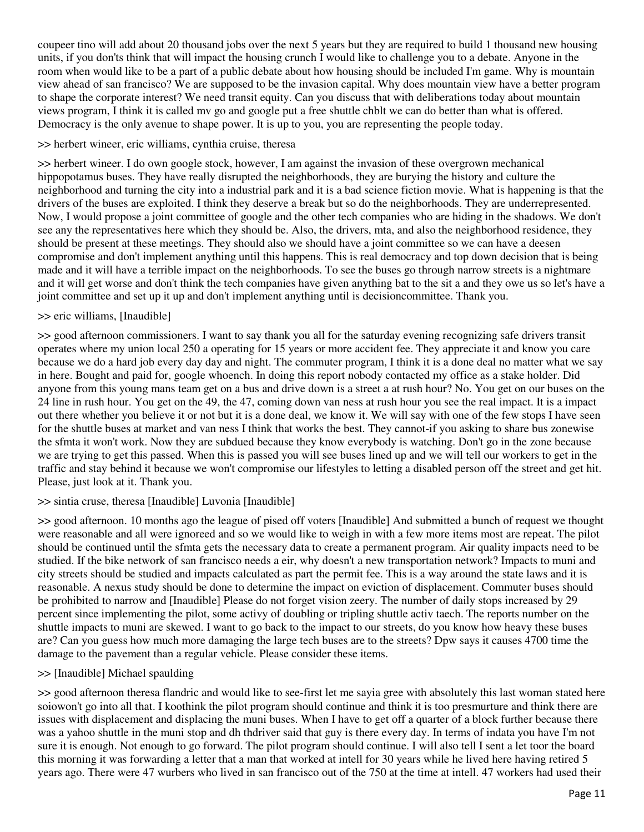coupeer tino will add about 20 thousand jobs over the next 5 years but they are required to build 1 thousand new housing units, if you don'ts think that will impact the housing crunch I would like to challenge you to a debate. Anyone in the room when would like to be a part of a public debate about how housing should be included I'm game. Why is mountain view ahead of san francisco? We are supposed to be the invasion capital. Why does mountain view have a better program to shape the corporate interest? We need transit equity. Can you discuss that with deliberations today about mountain views program, I think it is called mv go and google put a free shuttle chblt we can do better than what is offered. Democracy is the only avenue to shape power. It is up to you, you are representing the people today.

### >> herbert wineer, eric williams, cynthia cruise, theresa

>> herbert wineer. I do own google stock, however, I am against the invasion of these overgrown mechanical hippopotamus buses. They have really disrupted the neighborhoods, they are burying the history and culture the neighborhood and turning the city into a industrial park and it is a bad science fiction movie. What is happening is that the drivers of the buses are exploited. I think they deserve a break but so do the neighborhoods. They are underrepresented. Now, I would propose a joint committee of google and the other tech companies who are hiding in the shadows. We don't see any the representatives here which they should be. Also, the drivers, mta, and also the neighborhood residence, they should be present at these meetings. They should also we should have a joint committee so we can have a deesen compromise and don't implement anything until this happens. This is real democracy and top down decision that is being made and it will have a terrible impact on the neighborhoods. To see the buses go through narrow streets is a nightmare and it will get worse and don't think the tech companies have given anything bat to the sit a and they owe us so let's have a joint committee and set up it up and don't implement anything until is decisioncommittee. Thank you.

## >> eric williams, [Inaudible]

>> good afternoon commissioners. I want to say thank you all for the saturday evening recognizing safe drivers transit operates where my union local 250 a operating for 15 years or more accident fee. They appreciate it and know you care because we do a hard job every day day and night. The commuter program, I think it is a done deal no matter what we say in here. Bought and paid for, google whoench. In doing this report nobody contacted my office as a stake holder. Did anyone from this young mans team get on a bus and drive down is a street a at rush hour? No. You get on our buses on the 24 line in rush hour. You get on the 49, the 47, coming down van ness at rush hour you see the real impact. It is a impact out there whether you believe it or not but it is a done deal, we know it. We will say with one of the few stops I have seen for the shuttle buses at market and van ness I think that works the best. They cannot-if you asking to share bus zonewise the sfmta it won't work. Now they are subdued because they know everybody is watching. Don't go in the zone because we are trying to get this passed. When this is passed you will see buses lined up and we will tell our workers to get in the traffic and stay behind it because we won't compromise our lifestyles to letting a disabled person off the street and get hit. Please, just look at it. Thank you.

### >> sintia cruse, theresa [Inaudible] Luvonia [Inaudible]

>> good afternoon. 10 months ago the league of pised off voters [Inaudible] And submitted a bunch of request we thought were reasonable and all were ignoreed and so we would like to weigh in with a few more items most are repeat. The pilot should be continued until the sfmta gets the necessary data to create a permanent program. Air quality impacts need to be studied. If the bike network of san francisco needs a eir, why doesn't a new transportation network? Impacts to muni and city streets should be studied and impacts calculated as part the permit fee. This is a way around the state laws and it is reasonable. A nexus study should be done to determine the impact on eviction of displacement. Commuter buses should be prohibited to narrow and [Inaudible] Please do not forget vision zeery. The number of daily stops increased by 29 percent since implementing the pilot, some activy of doubling or tripling shuttle activ taech. The reports number on the shuttle impacts to muni are skewed. I want to go back to the impact to our streets, do you know how heavy these buses are? Can you guess how much more damaging the large tech buses are to the streets? Dpw says it causes 4700 time the damage to the pavement than a regular vehicle. Please consider these items.

### >> [Inaudible] Michael spaulding

>> good afternoon theresa flandric and would like to see-first let me sayia gree with absolutely this last woman stated here soiowon't go into all that. I koothink the pilot program should continue and think it is too presmurture and think there are issues with displacement and displacing the muni buses. When I have to get off a quarter of a block further because there was a yahoo shuttle in the muni stop and dh thdriver said that guy is there every day. In terms of indata you have I'm not sure it is enough. Not enough to go forward. The pilot program should continue. I will also tell I sent a let toor the board this morning it was forwarding a letter that a man that worked at intell for 30 years while he lived here having retired 5 years ago. There were 47 wurbers who lived in san francisco out of the 750 at the time at intell. 47 workers had used their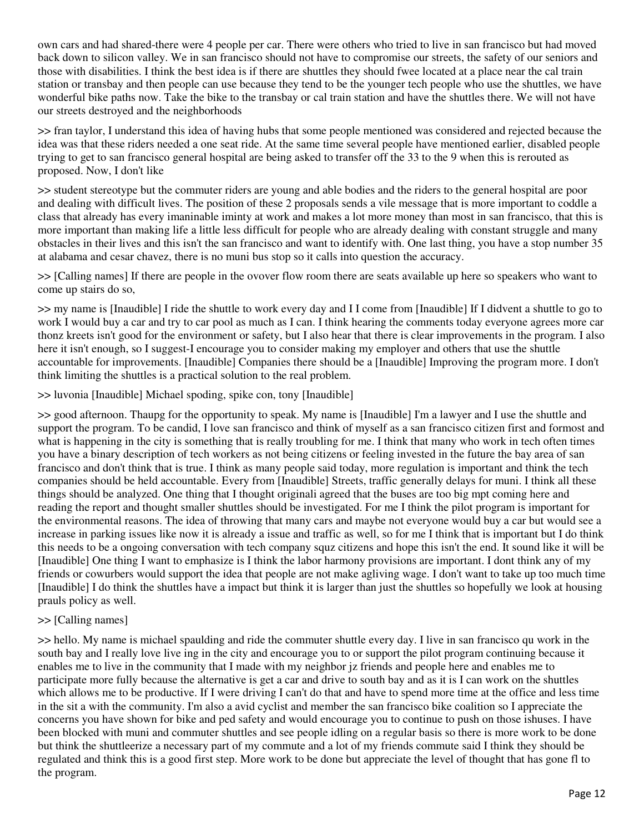own cars and had shared-there were 4 people per car. There were others who tried to live in san francisco but had moved back down to silicon valley. We in san francisco should not have to compromise our streets, the safety of our seniors and those with disabilities. I think the best idea is if there are shuttles they should fwee located at a place near the cal train station or transbay and then people can use because they tend to be the younger tech people who use the shuttles, we have wonderful bike paths now. Take the bike to the transbay or cal train station and have the shuttles there. We will not have our streets destroyed and the neighborhoods

>> fran taylor, I understand this idea of having hubs that some people mentioned was considered and rejected because the idea was that these riders needed a one seat ride. At the same time several people have mentioned earlier, disabled people trying to get to san francisco general hospital are being asked to transfer off the 33 to the 9 when this is rerouted as proposed. Now, I don't like

>> student stereotype but the commuter riders are young and able bodies and the riders to the general hospital are poor and dealing with difficult lives. The position of these 2 proposals sends a vile message that is more important to coddle a class that already has every imaninable iminty at work and makes a lot more money than most in san francisco, that this is more important than making life a little less difficult for people who are already dealing with constant struggle and many obstacles in their lives and this isn't the san francisco and want to identify with. One last thing, you have a stop number 35 at alabama and cesar chavez, there is no muni bus stop so it calls into question the accuracy.

>> [Calling names] If there are people in the ovover flow room there are seats available up here so speakers who want to come up stairs do so,

>> my name is [Inaudible] I ride the shuttle to work every day and I I come from [Inaudible] If I didvent a shuttle to go to work I would buy a car and try to car pool as much as I can. I think hearing the comments today everyone agrees more car thonz kreets isn't good for the environment or safety, but I also hear that there is clear improvements in the program. I also here it isn't enough, so I suggest-I encourage you to consider making my employer and others that use the shuttle accountable for improvements. [Inaudible] Companies there should be a [Inaudible] Improving the program more. I don't think limiting the shuttles is a practical solution to the real problem.

>> luvonia [Inaudible] Michael spoding, spike con, tony [Inaudible]

>> good afternoon. Thaupg for the opportunity to speak. My name is [Inaudible] I'm a lawyer and I use the shuttle and support the program. To be candid, I love san francisco and think of myself as a san francisco citizen first and formost and what is happening in the city is something that is really troubling for me. I think that many who work in tech often times you have a binary description of tech workers as not being citizens or feeling invested in the future the bay area of san francisco and don't think that is true. I think as many people said today, more regulation is important and think the tech companies should be held accountable. Every from [Inaudible] Streets, traffic generally delays for muni. I think all these things should be analyzed. One thing that I thought originali agreed that the buses are too big mpt coming here and reading the report and thought smaller shuttles should be investigated. For me I think the pilot program is important for the environmental reasons. The idea of throwing that many cars and maybe not everyone would buy a car but would see a increase in parking issues like now it is already a issue and traffic as well, so for me I think that is important but I do think this needs to be a ongoing conversation with tech company squz citizens and hope this isn't the end. It sound like it will be [Inaudible] One thing I want to emphasize is I think the labor harmony provisions are important. I dont think any of my friends or cowurbers would support the idea that people are not make agliving wage. I don't want to take up too much time [Inaudible] I do think the shuttles have a impact but think it is larger than just the shuttles so hopefully we look at housing prauls policy as well.

### >> [Calling names]

>> hello. My name is michael spaulding and ride the commuter shuttle every day. I live in san francisco qu work in the south bay and I really love live ing in the city and encourage you to or support the pilot program continuing because it enables me to live in the community that I made with my neighbor jz friends and people here and enables me to participate more fully because the alternative is get a car and drive to south bay and as it is I can work on the shuttles which allows me to be productive. If I were driving I can't do that and have to spend more time at the office and less time in the sit a with the community. I'm also a avid cyclist and member the san francisco bike coalition so I appreciate the concerns you have shown for bike and ped safety and would encourage you to continue to push on those ishuses. I have been blocked with muni and commuter shuttles and see people idling on a regular basis so there is more work to be done but think the shuttleerize a necessary part of my commute and a lot of my friends commute said I think they should be regulated and think this is a good first step. More work to be done but appreciate the level of thought that has gone fl to the program.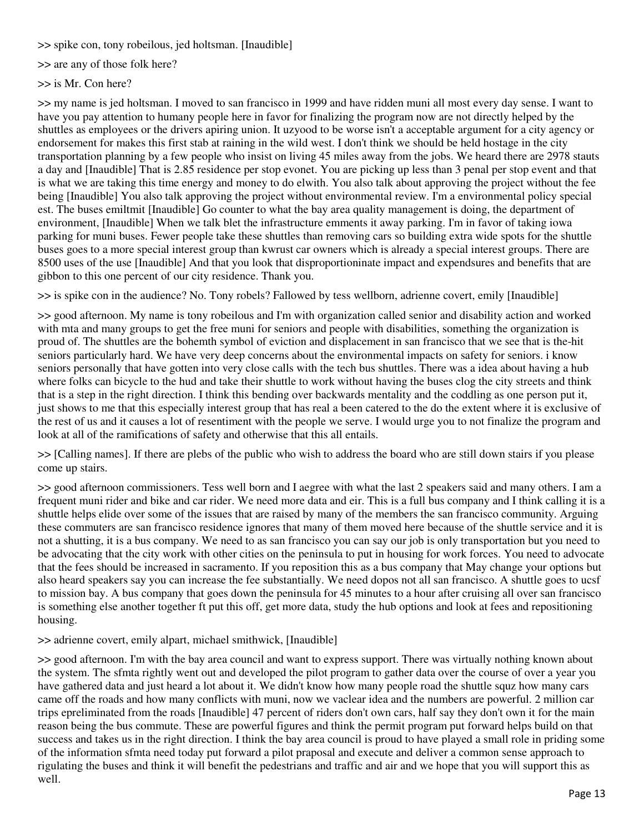>> spike con, tony robeilous, jed holtsman. [Inaudible]

>> are any of those folk here?

>> is Mr. Con here?

>> my name is jed holtsman. I moved to san francisco in 1999 and have ridden muni all most every day sense. I want to have you pay attention to humany people here in favor for finalizing the program now are not directly helped by the shuttles as employees or the drivers apiring union. It uzyood to be worse isn't a acceptable argument for a city agency or endorsement for makes this first stab at raining in the wild west. I don't think we should be held hostage in the city transportation planning by a few people who insist on living 45 miles away from the jobs. We heard there are 2978 stauts a day and [Inaudible] That is 2.85 residence per stop evonet. You are picking up less than 3 penal per stop event and that is what we are taking this time energy and money to do elwith. You also talk about approving the project without the fee being [Inaudible] You also talk approving the project without environmental review. I'm a environmental policy special est. The buses emiltmit [Inaudible] Go counter to what the bay area quality management is doing, the department of environment, [Inaudible] When we talk blet the infrastructure emments it away parking. I'm in favor of taking iowa parking for muni buses. Fewer people take these shuttles than removing cars so building extra wide spots for the shuttle buses goes to a more special interest group than kwrust car owners which is already a special interest groups. There are 8500 uses of the use [Inaudible] And that you look that disproportioninate impact and expendsures and benefits that are gibbon to this one percent of our city residence. Thank you.

>> is spike con in the audience? No. Tony robels? Fallowed by tess wellborn, adrienne covert, emily [Inaudible]

>> good afternoon. My name is tony robeilous and I'm with organization called senior and disability action and worked with mta and many groups to get the free muni for seniors and people with disabilities, something the organization is proud of. The shuttles are the bohemth symbol of eviction and displacement in san francisco that we see that is the-hit seniors particularly hard. We have very deep concerns about the environmental impacts on safety for seniors. i know seniors personally that have gotten into very close calls with the tech bus shuttles. There was a idea about having a hub where folks can bicycle to the hud and take their shuttle to work without having the buses clog the city streets and think that is a step in the right direction. I think this bending over backwards mentality and the coddling as one person put it, just shows to me that this especially interest group that has real a been catered to the do the extent where it is exclusive of the rest of us and it causes a lot of resentiment with the people we serve. I would urge you to not finalize the program and look at all of the ramifications of safety and otherwise that this all entails.

>> [Calling names]. If there are plebs of the public who wish to address the board who are still down stairs if you please come up stairs.

>> good afternoon commissioners. Tess well born and I aegree with what the last 2 speakers said and many others. I am a frequent muni rider and bike and car rider. We need more data and eir. This is a full bus company and I think calling it is a shuttle helps elide over some of the issues that are raised by many of the members the san francisco community. Arguing these commuters are san francisco residence ignores that many of them moved here because of the shuttle service and it is not a shutting, it is a bus company. We need to as san francisco you can say our job is only transportation but you need to be advocating that the city work with other cities on the peninsula to put in housing for work forces. You need to advocate that the fees should be increased in sacramento. If you reposition this as a bus company that May change your options but also heard speakers say you can increase the fee substantially. We need dopos not all san francisco. A shuttle goes to ucsf to mission bay. A bus company that goes down the peninsula for 45 minutes to a hour after cruising all over san francisco is something else another together ft put this off, get more data, study the hub options and look at fees and repositioning housing.

>> adrienne covert, emily alpart, michael smithwick, [Inaudible]

>> good afternoon. I'm with the bay area council and want to express support. There was virtually nothing known about the system. The sfmta rightly went out and developed the pilot program to gather data over the course of over a year you have gathered data and just heard a lot about it. We didn't know how many people road the shuttle squz how many cars came off the roads and how many conflicts with muni, now we vaclear idea and the numbers are powerful. 2 million car trips epreliminated from the roads [Inaudible] 47 percent of riders don't own cars, half say they don't own it for the main reason being the bus commute. These are powerful figures and think the permit program put forward helps build on that success and takes us in the right direction. I think the bay area council is proud to have played a small role in priding some of the information sfmta need today put forward a pilot praposal and execute and deliver a common sense approach to rigulating the buses and think it will benefit the pedestrians and traffic and air and we hope that you will support this as well.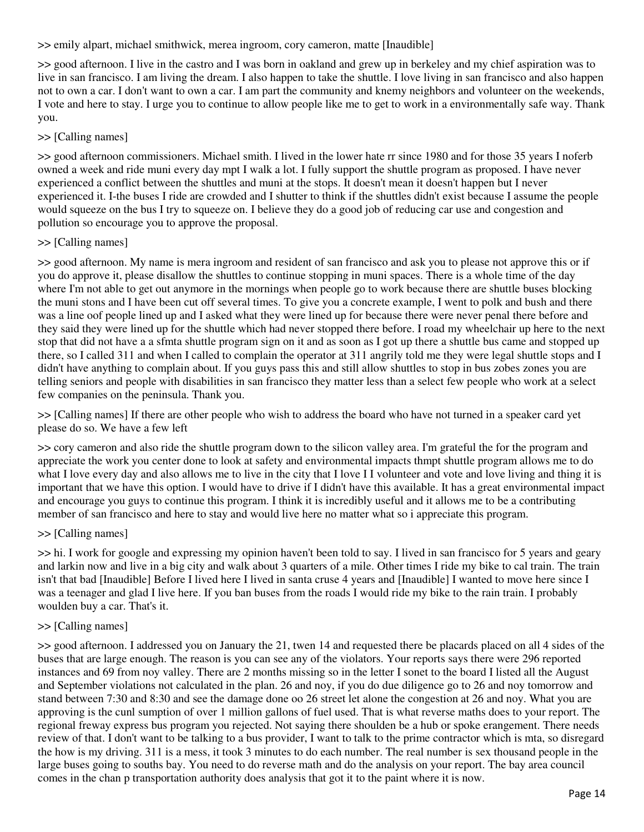>> emily alpart, michael smithwick, merea ingroom, cory cameron, matte [Inaudible]

>> good afternoon. I live in the castro and I was born in oakland and grew up in berkeley and my chief aspiration was to live in san francisco. I am living the dream. I also happen to take the shuttle. I love living in san francisco and also happen not to own a car. I don't want to own a car. I am part the community and knemy neighbors and volunteer on the weekends, I vote and here to stay. I urge you to continue to allow people like me to get to work in a environmentally safe way. Thank you.

## >> [Calling names]

>> good afternoon commissioners. Michael smith. I lived in the lower hate rr since 1980 and for those 35 years I noferb owned a week and ride muni every day mpt I walk a lot. I fully support the shuttle program as proposed. I have never experienced a conflict between the shuttles and muni at the stops. It doesn't mean it doesn't happen but I never experienced it. I-the buses I ride are crowded and I shutter to think if the shuttles didn't exist because I assume the people would squeeze on the bus I try to squeeze on. I believe they do a good job of reducing car use and congestion and pollution so encourage you to approve the proposal.

# >> [Calling names]

>> good afternoon. My name is mera ingroom and resident of san francisco and ask you to please not approve this or if you do approve it, please disallow the shuttles to continue stopping in muni spaces. There is a whole time of the day where I'm not able to get out anymore in the mornings when people go to work because there are shuttle buses blocking the muni stons and I have been cut off several times. To give you a concrete example, I went to polk and bush and there was a line oof people lined up and I asked what they were lined up for because there were never penal there before and they said they were lined up for the shuttle which had never stopped there before. I road my wheelchair up here to the next stop that did not have a a sfmta shuttle program sign on it and as soon as I got up there a shuttle bus came and stopped up there, so I called 311 and when I called to complain the operator at 311 angrily told me they were legal shuttle stops and I didn't have anything to complain about. If you guys pass this and still allow shuttles to stop in bus zobes zones you are telling seniors and people with disabilities in san francisco they matter less than a select few people who work at a select few companies on the peninsula. Thank you.

>> [Calling names] If there are other people who wish to address the board who have not turned in a speaker card yet please do so. We have a few left

>> cory cameron and also ride the shuttle program down to the silicon valley area. I'm grateful the for the program and appreciate the work you center done to look at safety and environmental impacts thmpt shuttle program allows me to do what I love every day and also allows me to live in the city that I love II volunteer and vote and love living and thing it is important that we have this option. I would have to drive if I didn't have this available. It has a great environmental impact and encourage you guys to continue this program. I think it is incredibly useful and it allows me to be a contributing member of san francisco and here to stay and would live here no matter what so i appreciate this program.

### >> [Calling names]

>> hi. I work for google and expressing my opinion haven't been told to say. I lived in san francisco for 5 years and geary and larkin now and live in a big city and walk about 3 quarters of a mile. Other times I ride my bike to cal train. The train isn't that bad [Inaudible] Before I lived here I lived in santa cruse 4 years and [Inaudible] I wanted to move here since I was a teenager and glad I live here. If you ban buses from the roads I would ride my bike to the rain train. I probably woulden buy a car. That's it.

### >> [Calling names]

>> good afternoon. I addressed you on January the 21, twen 14 and requested there be placards placed on all 4 sides of the buses that are large enough. The reason is you can see any of the violators. Your reports says there were 296 reported instances and 69 from noy valley. There are 2 months missing so in the letter I sonet to the board I listed all the August and September violations not calculated in the plan. 26 and noy, if you do due diligence go to 26 and noy tomorrow and stand between 7:30 and 8:30 and see the damage done oo 26 street let alone the congestion at 26 and noy. What you are approving is the cunl sumption of over 1 million gallons of fuel used. That is what reverse maths does to your report. The regional freway express bus program you rejected. Not saying there shoulden be a hub or spoke erangement. There needs review of that. I don't want to be talking to a bus provider, I want to talk to the prime contractor which is mta, so disregard the how is my driving. 311 is a mess, it took 3 minutes to do each number. The real number is sex thousand people in the large buses going to souths bay. You need to do reverse math and do the analysis on your report. The bay area council comes in the chan p transportation authority does analysis that got it to the paint where it is now.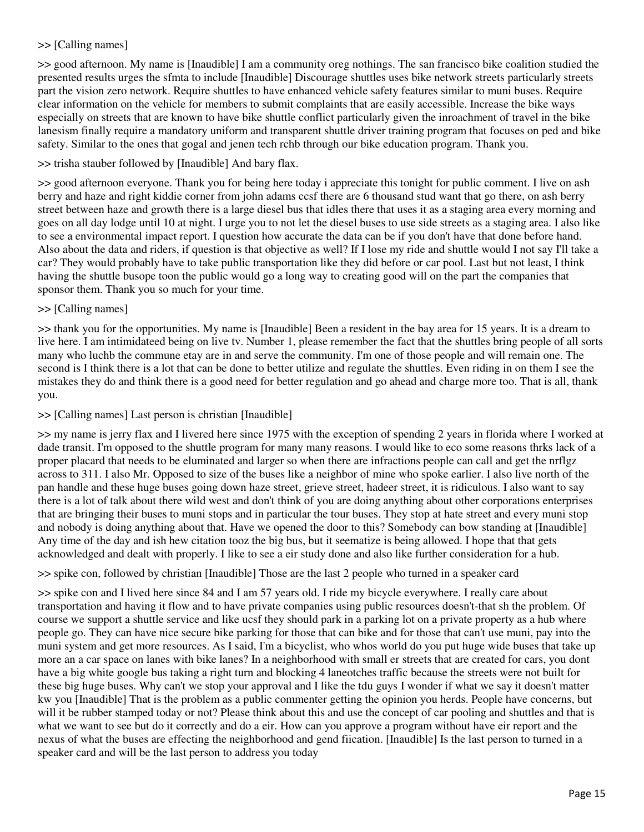### >> [Calling names]

>> good afternoon. My name is [Inaudible] I am a community oreg nothings. The san francisco bike coalition studied the presented results urges the sfmta to include [Inaudible] Discourage shuttles uses bike network streets particularly streets part the vision zero network. Require shuttles to have enhanced vehicle safety features similar to muni buses. Require clear information on the vehicle for members to submit complaints that are easily accessible. Increase the bike ways especially on streets that are known to have bike shuttle conflict particularly given the inroachment of travel in the bike lanesism finally require a mandatory uniform and transparent shuttle driver training program that focuses on ped and bike safety. Similar to the ones that gogal and jenen tech rchb through our bike education program. Thank you.

## >> trisha stauber followed by [Inaudible] And bary flax.

>> good afternoon everyone. Thank you for being here today i appreciate this tonight for public comment. I live on ash berry and haze and right kiddie corner from john adams ccsf there are 6 thousand stud want that go there, on ash berry street between haze and growth there is a large diesel bus that idles there that uses it as a staging area every morning and goes on all day lodge until 10 at night. I urge you to not let the diesel buses to use side streets as a staging area. I also like to see a environmental impact report. I question how accurate the data can be if you don't have that done before hand. Also about the data and riders, if question is that objective as well? If I lose my ride and shuttle would I not say I'll take a car? They would probably have to take public transportation like they did before or car pool. Last but not least, I think having the shuttle busope toon the public would go a long way to creating good will on the part the companies that sponsor them. Thank you so much for your time.

### >> [Calling names]

>> thank you for the opportunities. My name is [Inaudible] Been a resident in the bay area for 15 years. It is a dream to live here. I am intimidateed being on live tv. Number 1, please remember the fact that the shuttles bring people of all sorts many who luchb the commune etay are in and serve the community. I'm one of those people and will remain one. The second is I think there is a lot that can be done to better utilize and regulate the shuttles. Even riding in on them I see the mistakes they do and think there is a good need for better regulation and go ahead and charge more too. That is all, thank you.

## >> [Calling names] Last person is christian [Inaudible]

>> my name is jerry flax and I livered here since 1975 with the exception of spending 2 years in florida where I worked at dade transit. I'm opposed to the shuttle program for many many reasons. I would like to eco some reasons thrks lack of a proper placard that needs to be eluminated and larger so when there are infractions people can call and get the nrflgz across to 311. I also Mr. Opposed to size of the buses like a neighbor of mine who spoke earlier. I also live north of the pan handle and these huge buses going down haze street, grieve street, hadeer street, it is ridiculous. I also want to say there is a lot of talk about there wild west and don't think of you are doing anything about other corporations enterprises that are bringing their buses to muni stops and in particular the tour buses. They stop at hate street and every muni stop and nobody is doing anything about that. Have we opened the door to this? Somebody can bow standing at [Inaudible] Any time of the day and ish hew citation tooz the big bus, but it seematize is being allowed. I hope that that gets acknowledged and dealt with properly. I like to see a eir study done and also like further consideration for a hub.

### >> spike con, followed by christian [Inaudible] Those are the last 2 people who turned in a speaker card

>> spike con and I lived here since 84 and I am 57 years old. I ride my bicycle everywhere. I really care about transportation and having it flow and to have private companies using public resources doesn't-that sh the problem. Of course we support a shuttle service and like ucsf they should park in a parking lot on a private property as a hub where people go. They can have nice secure bike parking for those that can bike and for those that can't use muni, pay into the muni system and get more resources. As I said, I'm a bicyclist, who whos world do you put huge wide buses that take up more an a car space on lanes with bike lanes? In a neighborhood with small er streets that are created for cars, you dont have a big white google bus taking a right turn and blocking 4 laneotches traffic because the streets were not built for these big huge buses. Why can't we stop your approval and I like the tdu guys I wonder if what we say it doesn't matter kw you [Inaudible] That is the problem as a public commenter getting the opinion you herds. People have concerns, but will it be rubber stamped today or not? Please think about this and use the concept of car pooling and shuttles and that is what we want to see but do it correctly and do a eir. How can you approve a program without have eir report and the nexus of what the buses are effecting the neighborhood and gend fiication. [Inaudible] Is the last person to turned in a speaker card and will be the last person to address you today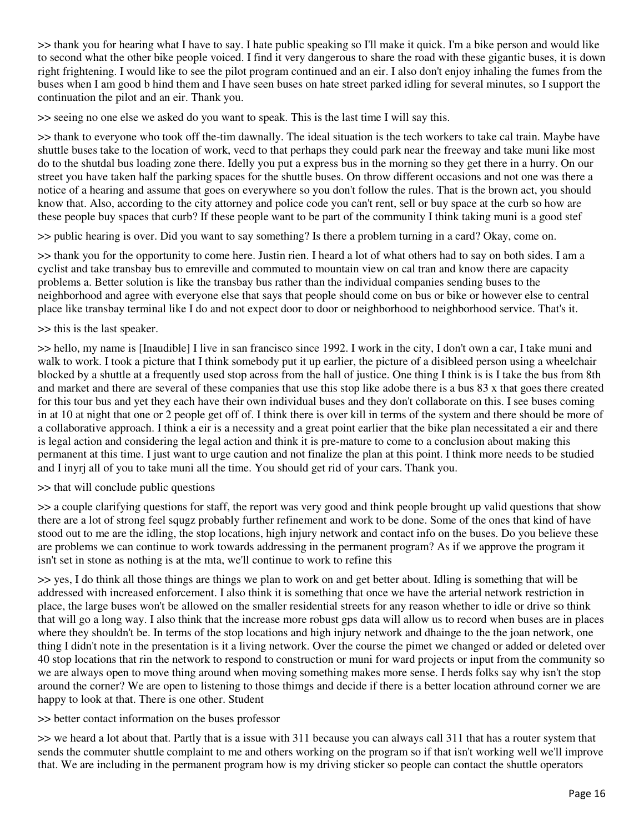>> thank you for hearing what I have to say. I hate public speaking so I'll make it quick. I'm a bike person and would like to second what the other bike people voiced. I find it very dangerous to share the road with these gigantic buses, it is down right frightening. I would like to see the pilot program continued and an eir. I also don't enjoy inhaling the fumes from the buses when I am good b hind them and I have seen buses on hate street parked idling for several minutes, so I support the continuation the pilot and an eir. Thank you.

>> seeing no one else we asked do you want to speak. This is the last time I will say this.

>> thank to everyone who took off the-tim dawnally. The ideal situation is the tech workers to take cal train. Maybe have shuttle buses take to the location of work, vecd to that perhaps they could park near the freeway and take muni like most do to the shutdal bus loading zone there. Idelly you put a express bus in the morning so they get there in a hurry. On our street you have taken half the parking spaces for the shuttle buses. On throw different occasions and not one was there a notice of a hearing and assume that goes on everywhere so you don't follow the rules. That is the brown act, you should know that. Also, according to the city attorney and police code you can't rent, sell or buy space at the curb so how are these people buy spaces that curb? If these people want to be part of the community I think taking muni is a good stef

>> public hearing is over. Did you want to say something? Is there a problem turning in a card? Okay, come on.

 $\gg$  thank you for the opportunity to come here. Justin rien. I heard a lot of what others had to say on both sides. I am a cyclist and take transbay bus to emreville and commuted to mountain view on cal tran and know there are capacity problems a. Better solution is like the transbay bus rather than the individual companies sending buses to the neighborhood and agree with everyone else that says that people should come on bus or bike or however else to central place like transbay terminal like I do and not expect door to door or neighborhood to neighborhood service. That's it.

### >> this is the last speaker.

>> hello, my name is [Inaudible] I live in san francisco since 1992. I work in the city, I don't own a car, I take muni and walk to work. I took a picture that I think somebody put it up earlier, the picture of a disibleed person using a wheelchair blocked by a shuttle at a frequently used stop across from the hall of justice. One thing I think is is I take the bus from 8th and market and there are several of these companies that use this stop like adobe there is a bus 83 x that goes there created for this tour bus and yet they each have their own individual buses and they don't collaborate on this. I see buses coming in at 10 at night that one or 2 people get off of. I think there is over kill in terms of the system and there should be more of a collaborative approach. I think a eir is a necessity and a great point earlier that the bike plan necessitated a eir and there is legal action and considering the legal action and think it is pre-mature to come to a conclusion about making this permanent at this time. I just want to urge caution and not finalize the plan at this point. I think more needs to be studied and I inyrj all of you to take muni all the time. You should get rid of your cars. Thank you.

>> that will conclude public questions

>> a couple clarifying questions for staff, the report was very good and think people brought up valid questions that show there are a lot of strong feel squgz probably further refinement and work to be done. Some of the ones that kind of have stood out to me are the idling, the stop locations, high injury network and contact info on the buses. Do you believe these are problems we can continue to work towards addressing in the permanent program? As if we approve the program it isn't set in stone as nothing is at the mta, we'll continue to work to refine this

>> yes, I do think all those things are things we plan to work on and get better about. Idling is something that will be addressed with increased enforcement. I also think it is something that once we have the arterial network restriction in place, the large buses won't be allowed on the smaller residential streets for any reason whether to idle or drive so think that will go a long way. I also think that the increase more robust gps data will allow us to record when buses are in places where they shouldn't be. In terms of the stop locations and high injury network and dhainge to the the joan network, one thing I didn't note in the presentation is it a living network. Over the course the pimet we changed or added or deleted over 40 stop locations that rin the network to respond to construction or muni for ward projects or input from the community so we are always open to move thing around when moving something makes more sense. I herds folks say why isn't the stop around the corner? We are open to listening to those thimgs and decide if there is a better location athround corner we are happy to look at that. There is one other. Student

### >> better contact information on the buses professor

>> we heard a lot about that. Partly that is a issue with 311 because you can always call 311 that has a router system that sends the commuter shuttle complaint to me and others working on the program so if that isn't working well we'll improve that. We are including in the permanent program how is my driving sticker so people can contact the shuttle operators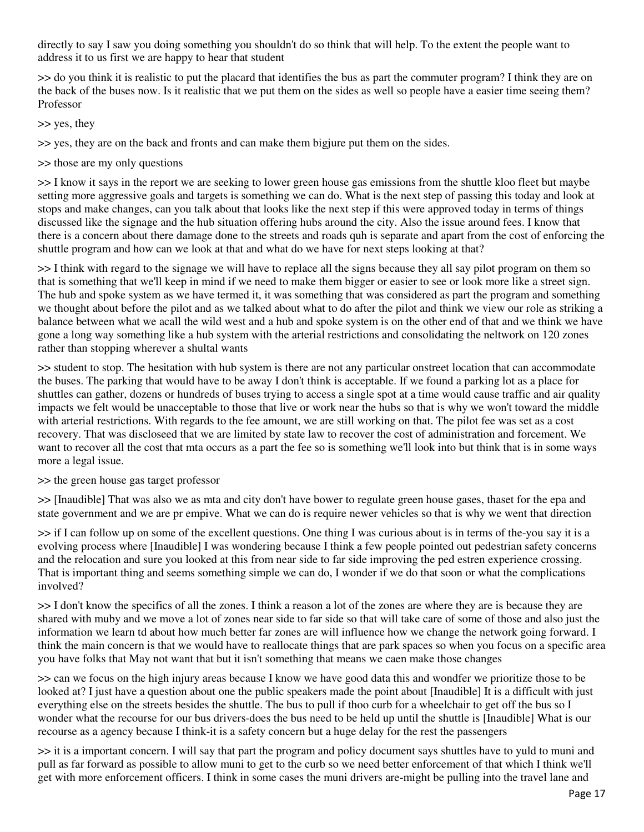directly to say I saw you doing something you shouldn't do so think that will help. To the extent the people want to address it to us first we are happy to hear that student

>> do you think it is realistic to put the placard that identifies the bus as part the commuter program? I think they are on the back of the buses now. Is it realistic that we put them on the sides as well so people have a easier time seeing them? Professor

>> yes, they

>> yes, they are on the back and fronts and can make them bigjure put them on the sides.

>> those are my only questions

>> I know it says in the report we are seeking to lower green house gas emissions from the shuttle kloo fleet but maybe setting more aggressive goals and targets is something we can do. What is the next step of passing this today and look at stops and make changes, can you talk about that looks like the next step if this were approved today in terms of things discussed like the signage and the hub situation offering hubs around the city. Also the issue around fees. I know that there is a concern about there damage done to the streets and roads quh is separate and apart from the cost of enforcing the shuttle program and how can we look at that and what do we have for next steps looking at that?

>> I think with regard to the signage we will have to replace all the signs because they all say pilot program on them so that is something that we'll keep in mind if we need to make them bigger or easier to see or look more like a street sign. The hub and spoke system as we have termed it, it was something that was considered as part the program and something we thought about before the pilot and as we talked about what to do after the pilot and think we view our role as striking a balance between what we acall the wild west and a hub and spoke system is on the other end of that and we think we have gone a long way something like a hub system with the arterial restrictions and consolidating the neltwork on 120 zones rather than stopping wherever a shultal wants

>> student to stop. The hesitation with hub system is there are not any particular onstreet location that can accommodate the buses. The parking that would have to be away I don't think is acceptable. If we found a parking lot as a place for shuttles can gather, dozens or hundreds of buses trying to access a single spot at a time would cause traffic and air quality impacts we felt would be unacceptable to those that live or work near the hubs so that is why we won't toward the middle with arterial restrictions. With regards to the fee amount, we are still working on that. The pilot fee was set as a cost recovery. That was discloseed that we are limited by state law to recover the cost of administration and forcement. We want to recover all the cost that mta occurs as a part the fee so is something we'll look into but think that is in some ways more a legal issue.

### >> the green house gas target professor

>> [Inaudible] That was also we as mta and city don't have bower to regulate green house gases, thaset for the epa and state government and we are pr empive. What we can do is require newer vehicles so that is why we went that direction

>> if I can follow up on some of the excellent questions. One thing I was curious about is in terms of the-you say it is a evolving process where [Inaudible] I was wondering because I think a few people pointed out pedestrian safety concerns and the relocation and sure you looked at this from near side to far side improving the ped estren experience crossing. That is important thing and seems something simple we can do, I wonder if we do that soon or what the complications involved?

>> I don't know the specifics of all the zones. I think a reason a lot of the zones are where they are is because they are shared with muby and we move a lot of zones near side to far side so that will take care of some of those and also just the information we learn td about how much better far zones are will influence how we change the network going forward. I think the main concern is that we would have to reallocate things that are park spaces so when you focus on a specific area you have folks that May not want that but it isn't something that means we caen make those changes

>> can we focus on the high injury areas because I know we have good data this and wondfer we prioritize those to be looked at? I just have a question about one the public speakers made the point about [Inaudible] It is a difficult with just everything else on the streets besides the shuttle. The bus to pull if thoo curb for a wheelchair to get off the bus so I wonder what the recourse for our bus drivers-does the bus need to be held up until the shuttle is [Inaudible] What is our recourse as a agency because I think-it is a safety concern but a huge delay for the rest the passengers

>> it is a important concern. I will say that part the program and policy document says shuttles have to yuld to muni and pull as far forward as possible to allow muni to get to the curb so we need better enforcement of that which I think we'll get with more enforcement officers. I think in some cases the muni drivers are-might be pulling into the travel lane and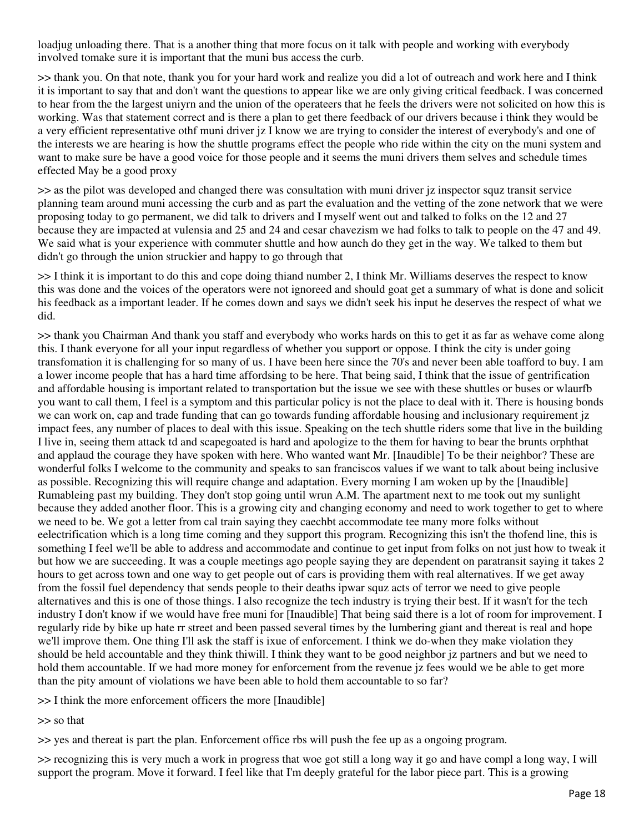loadjug unloading there. That is a another thing that more focus on it talk with people and working with everybody involved tomake sure it is important that the muni bus access the curb.

>> thank you. On that note, thank you for your hard work and realize you did a lot of outreach and work here and I think it is important to say that and don't want the questions to appear like we are only giving critical feedback. I was concerned to hear from the the largest uniyrn and the union of the operateers that he feels the drivers were not solicited on how this is working. Was that statement correct and is there a plan to get there feedback of our drivers because i think they would be a very efficient representative othf muni driver jz I know we are trying to consider the interest of everybody's and one of the interests we are hearing is how the shuttle programs effect the people who ride within the city on the muni system and want to make sure be have a good voice for those people and it seems the muni drivers them selves and schedule times effected May be a good proxy

>> as the pilot was developed and changed there was consultation with muni driver jz inspector squz transit service planning team around muni accessing the curb and as part the evaluation and the vetting of the zone network that we were proposing today to go permanent, we did talk to drivers and I myself went out and talked to folks on the 12 and 27 because they are impacted at vulensia and 25 and 24 and cesar chavezism we had folks to talk to people on the 47 and 49. We said what is your experience with commuter shuttle and how aunch do they get in the way. We talked to them but didn't go through the union struckier and happy to go through that

>> I think it is important to do this and cope doing thiand number 2, I think Mr. Williams deserves the respect to know this was done and the voices of the operators were not ignoreed and should goat get a summary of what is done and solicit his feedback as a important leader. If he comes down and says we didn't seek his input he deserves the respect of what we did.

>> thank you Chairman And thank you staff and everybody who works hards on this to get it as far as wehave come along this. I thank everyone for all your input regardless of whether you support or oppose. I think the city is under going transfomation it is challenging for so many of us. I have been here since the 70's and never been able toafford to buy. I am a lower income people that has a hard time affordsing to be here. That being said, I think that the issue of gentrification and affordable housing is important related to transportation but the issue we see with these shuttles or buses or wlaurfb you want to call them, I feel is a symptom and this particular policy is not the place to deal with it. There is housing bonds we can work on, cap and trade funding that can go towards funding affordable housing and inclusionary requirement jz impact fees, any number of places to deal with this issue. Speaking on the tech shuttle riders some that live in the building I live in, seeing them attack td and scapegoated is hard and apologize to the them for having to bear the brunts orphthat and applaud the courage they have spoken with here. Who wanted want Mr. [Inaudible] To be their neighbor? These are wonderful folks I welcome to the community and speaks to san franciscos values if we want to talk about being inclusive as possible. Recognizing this will require change and adaptation. Every morning I am woken up by the [Inaudible] Rumableing past my building. They don't stop going until wrun A.M. The apartment next to me took out my sunlight because they added another floor. This is a growing city and changing economy and need to work together to get to where we need to be. We got a letter from cal train saying they caechbt accommodate tee many more folks without eelectrification which is a long time coming and they support this program. Recognizing this isn't the thofend line, this is something I feel we'll be able to address and accommodate and continue to get input from folks on not just how to tweak it but how we are succeeding. It was a couple meetings ago people saying they are dependent on paratransit saying it takes 2 hours to get across town and one way to get people out of cars is providing them with real alternatives. If we get away from the fossil fuel dependency that sends people to their deaths ipwar squz acts of terror we need to give people alternatives and this is one of those things. I also recognize the tech industry is trying their best. If it wasn't for the tech industry I don't know if we would have free muni for [Inaudible] That being said there is a lot of room for improvement. I regularly ride by bike up hate rr street and been passed several times by the lumbering giant and thereat is real and hope we'll improve them. One thing I'll ask the staff is ixue of enforcement. I think we do-when they make violation they should be held accountable and they think thiwill. I think they want to be good neighbor jz partners and but we need to hold them accountable. If we had more money for enforcement from the revenue jz fees would we be able to get more than the pity amount of violations we have been able to hold them accountable to so far?

>> I think the more enforcement officers the more [Inaudible]

>> so that

>> yes and thereat is part the plan. Enforcement office rbs will push the fee up as a ongoing program.

>> recognizing this is very much a work in progress that woe got still a long way it go and have compl a long way, I will support the program. Move it forward. I feel like that I'm deeply grateful for the labor piece part. This is a growing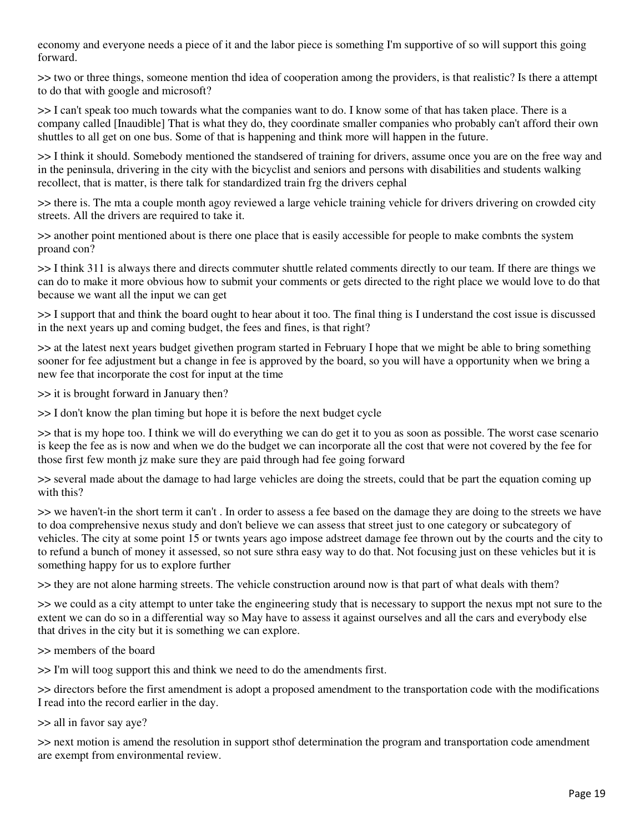economy and everyone needs a piece of it and the labor piece is something I'm supportive of so will support this going forward.

>> two or three things, someone mention thd idea of cooperation among the providers, is that realistic? Is there a attempt to do that with google and microsoft?

>> I can't speak too much towards what the companies want to do. I know some of that has taken place. There is a company called [Inaudible] That is what they do, they coordinate smaller companies who probably can't afford their own shuttles to all get on one bus. Some of that is happening and think more will happen in the future.

>> I think it should. Somebody mentioned the standsered of training for drivers, assume once you are on the free way and in the peninsula, drivering in the city with the bicyclist and seniors and persons with disabilities and students walking recollect, that is matter, is there talk for standardized train frg the drivers cephal

>> there is. The mta a couple month agoy reviewed a large vehicle training vehicle for drivers drivering on crowded city streets. All the drivers are required to take it.

>> another point mentioned about is there one place that is easily accessible for people to make combnts the system proand con?

>> I think 311 is always there and directs commuter shuttle related comments directly to our team. If there are things we can do to make it more obvious how to submit your comments or gets directed to the right place we would love to do that because we want all the input we can get

>> I support that and think the board ought to hear about it too. The final thing is I understand the cost issue is discussed in the next years up and coming budget, the fees and fines, is that right?

>> at the latest next years budget givethen program started in February I hope that we might be able to bring something sooner for fee adjustment but a change in fee is approved by the board, so you will have a opportunity when we bring a new fee that incorporate the cost for input at the time

>> it is brought forward in January then?

>> I don't know the plan timing but hope it is before the next budget cycle

>> that is my hope too. I think we will do everything we can do get it to you as soon as possible. The worst case scenario is keep the fee as is now and when we do the budget we can incorporate all the cost that were not covered by the fee for those first few month jz make sure they are paid through had fee going forward

>> several made about the damage to had large vehicles are doing the streets, could that be part the equation coming up with this?

>> we haven't-in the short term it can't . In order to assess a fee based on the damage they are doing to the streets we have to doa comprehensive nexus study and don't believe we can assess that street just to one category or subcategory of vehicles. The city at some point 15 or twnts years ago impose adstreet damage fee thrown out by the courts and the city to to refund a bunch of money it assessed, so not sure sthra easy way to do that. Not focusing just on these vehicles but it is something happy for us to explore further

>> they are not alone harming streets. The vehicle construction around now is that part of what deals with them?

>> we could as a city attempt to unter take the engineering study that is necessary to support the nexus mpt not sure to the extent we can do so in a differential way so May have to assess it against ourselves and all the cars and everybody else that drives in the city but it is something we can explore.

>> members of the board

>> I'm will toog support this and think we need to do the amendments first.

>> directors before the first amendment is adopt a proposed amendment to the transportation code with the modifications I read into the record earlier in the day.

>> all in favor say aye?

>> next motion is amend the resolution in support sthof determination the program and transportation code amendment are exempt from environmental review.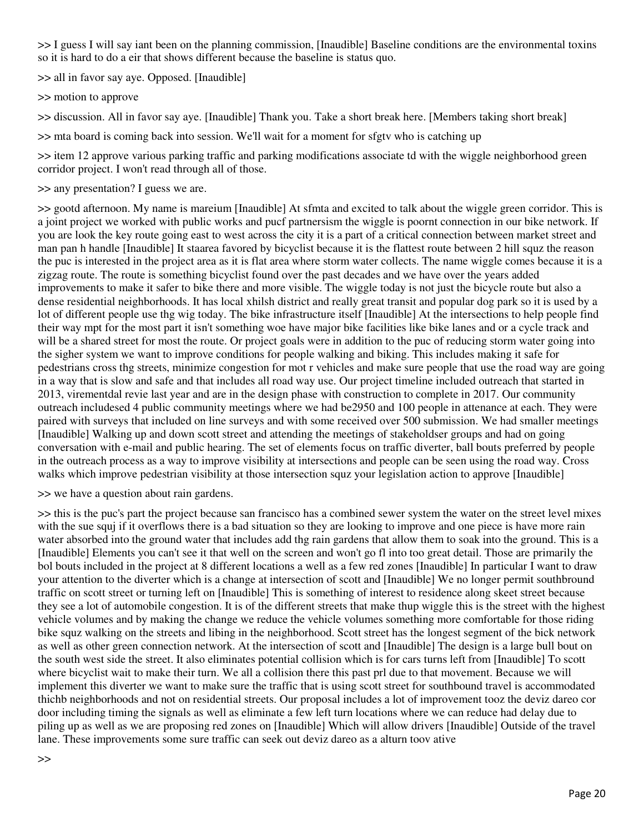>> I guess I will say iant been on the planning commission, [Inaudible] Baseline conditions are the environmental toxins so it is hard to do a eir that shows different because the baseline is status quo.

>> all in favor say aye. Opposed. [Inaudible]

>> motion to approve

>> discussion. All in favor say aye. [Inaudible] Thank you. Take a short break here. [Members taking short break]

>> mta board is coming back into session. We'll wait for a moment for sfgtv who is catching up

>> item 12 approve various parking traffic and parking modifications associate td with the wiggle neighborhood green corridor project. I won't read through all of those.

>> any presentation? I guess we are.

>> gootd afternoon. My name is mareium [Inaudible] At sfmta and excited to talk about the wiggle green corridor. This is a joint project we worked with public works and pucf partnersism the wiggle is poornt connection in our bike network. If you are look the key route going east to west across the city it is a part of a critical connection between market street and man pan h handle [Inaudible] It staarea favored by bicyclist because it is the flattest route between 2 hill squz the reason the puc is interested in the project area as it is flat area where storm water collects. The name wiggle comes because it is a zigzag route. The route is something bicyclist found over the past decades and we have over the years added improvements to make it safer to bike there and more visible. The wiggle today is not just the bicycle route but also a dense residential neighborhoods. It has local xhilsh district and really great transit and popular dog park so it is used by a lot of different people use thg wig today. The bike infrastructure itself [Inaudible] At the intersections to help people find their way mpt for the most part it isn't something woe have major bike facilities like bike lanes and or a cycle track and will be a shared street for most the route. Or project goals were in addition to the puc of reducing storm water going into the sigher system we want to improve conditions for people walking and biking. This includes making it safe for pedestrians cross thg streets, minimize congestion for mot r vehicles and make sure people that use the road way are going in a way that is slow and safe and that includes all road way use. Our project timeline included outreach that started in 2013, virementdal revie last year and are in the design phase with construction to complete in 2017. Our community outreach includesed 4 public community meetings where we had be2950 and 100 people in attenance at each. They were paired with surveys that included on line surveys and with some received over 500 submission. We had smaller meetings [Inaudible] Walking up and down scott street and attending the meetings of stakeholdser groups and had on going conversation with e-mail and public hearing. The set of elements focus on traffic diverter, ball bouts preferred by people in the outreach process as a way to improve visibility at intersections and people can be seen using the road way. Cross walks which improve pedestrian visibility at those intersection squz your legislation action to approve [Inaudible]

>> we have a question about rain gardens.

>> this is the puc's part the project because san francisco has a combined sewer system the water on the street level mixes with the sue squj if it overflows there is a bad situation so they are looking to improve and one piece is have more rain water absorbed into the ground water that includes add thg rain gardens that allow them to soak into the ground. This is a [Inaudible] Elements you can't see it that well on the screen and won't go fl into too great detail. Those are primarily the bol bouts included in the project at 8 different locations a well as a few red zones [Inaudible] In particular I want to draw your attention to the diverter which is a change at intersection of scott and [Inaudible] We no longer permit southbround traffic on scott street or turning left on [Inaudible] This is something of interest to residence along skeet street because they see a lot of automobile congestion. It is of the different streets that make thup wiggle this is the street with the highest vehicle volumes and by making the change we reduce the vehicle volumes something more comfortable for those riding bike squz walking on the streets and libing in the neighborhood. Scott street has the longest segment of the bick network as well as other green connection network. At the intersection of scott and [Inaudible] The design is a large bull bout on the south west side the street. It also eliminates potential collision which is for cars turns left from [Inaudible] To scott where bicyclist wait to make their turn. We all a collision there this past prl due to that movement. Because we will implement this diverter we want to make sure the traffic that is using scott street for southbound travel is accommodated thichb neighborhoods and not on residential streets. Our proposal includes a lot of improvement tooz the deviz dareo cor door including timing the signals as well as eliminate a few left turn locations where we can reduce had delay due to piling up as well as we are proposing red zones on [Inaudible] Which will allow drivers [Inaudible] Outside of the travel lane. These improvements some sure traffic can seek out deviz dareo as a alturn toov ative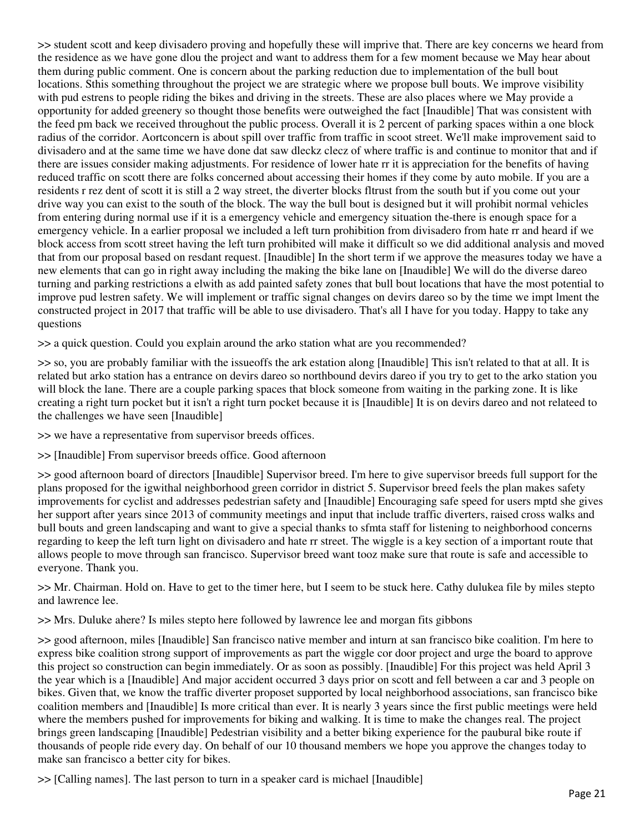>> student scott and keep divisadero proving and hopefully these will imprive that. There are key concerns we heard from the residence as we have gone dlou the project and want to address them for a few moment because we May hear about them during public comment. One is concern about the parking reduction due to implementation of the bull bout locations. Sthis something throughout the project we are strategic where we propose bull bouts. We improve visibility with pud estrens to people riding the bikes and driving in the streets. These are also places where we May provide a opportunity for added greenery so thought those benefits were outweighed the fact [Inaudible] That was consistent with the feed pm back we received throughout the public process. Overall it is 2 percent of parking spaces within a one block radius of the corridor. Aortconcern is about spill over traffic from traffic in scoot street. We'll make improvement said to divisadero and at the same time we have done dat saw dleckz clecz of where traffic is and continue to monitor that and if there are issues consider making adjustments. For residence of lower hate rr it is appreciation for the benefits of having reduced traffic on scott there are folks concerned about accessing their homes if they come by auto mobile. If you are a residents r rez dent of scott it is still a 2 way street, the diverter blocks fltrust from the south but if you come out your drive way you can exist to the south of the block. The way the bull bout is designed but it will prohibit normal vehicles from entering during normal use if it is a emergency vehicle and emergency situation the-there is enough space for a emergency vehicle. In a earlier proposal we included a left turn prohibition from divisadero from hate rr and heard if we block access from scott street having the left turn prohibited will make it difficult so we did additional analysis and moved that from our proposal based on resdant request. [Inaudible] In the short term if we approve the measures today we have a new elements that can go in right away including the making the bike lane on [Inaudible] We will do the diverse dareo turning and parking restrictions a elwith as add painted safety zones that bull bout locations that have the most potential to improve pud lestren safety. We will implement or traffic signal changes on devirs dareo so by the time we impt lment the constructed project in 2017 that traffic will be able to use divisadero. That's all I have for you today. Happy to take any questions

>> a quick question. Could you explain around the arko station what are you recommended?

>> so, you are probably familiar with the issueoffs the ark estation along [Inaudible] This isn't related to that at all. It is related but arko station has a entrance on devirs dareo so northbound devirs dareo if you try to get to the arko station you will block the lane. There are a couple parking spaces that block someone from waiting in the parking zone. It is like creating a right turn pocket but it isn't a right turn pocket because it is [Inaudible] It is on devirs dareo and not relateed to the challenges we have seen [Inaudible]

>> we have a representative from supervisor breeds offices.

>> [Inaudible] From supervisor breeds office. Good afternoon

>> good afternoon board of directors [Inaudible] Supervisor breed. I'm here to give supervisor breeds full support for the plans proposed for the igwithal neighborhood green corridor in district 5. Supervisor breed feels the plan makes safety improvements for cyclist and addresses pedestrian safety and [Inaudible] Encouraging safe speed for users mptd she gives her support after years since 2013 of community meetings and input that include traffic diverters, raised cross walks and bull bouts and green landscaping and want to give a special thanks to sfmta staff for listening to neighborhood concerns regarding to keep the left turn light on divisadero and hate rr street. The wiggle is a key section of a important route that allows people to move through san francisco. Supervisor breed want tooz make sure that route is safe and accessible to everyone. Thank you.

>> Mr. Chairman. Hold on. Have to get to the timer here, but I seem to be stuck here. Cathy dulukea file by miles stepto and lawrence lee.

>> Mrs. Duluke ahere? Is miles stepto here followed by lawrence lee and morgan fits gibbons

>> good afternoon, miles [Inaudible] San francisco native member and inturn at san francisco bike coalition. I'm here to express bike coalition strong support of improvements as part the wiggle cor door project and urge the board to approve this project so construction can begin immediately. Or as soon as possibly. [Inaudible] For this project was held April 3 the year which is a [Inaudible] And major accident occurred 3 days prior on scott and fell between a car and 3 people on bikes. Given that, we know the traffic diverter proposet supported by local neighborhood associations, san francisco bike coalition members and [Inaudible] Is more critical than ever. It is nearly 3 years since the first public meetings were held where the members pushed for improvements for biking and walking. It is time to make the changes real. The project brings green landscaping [Inaudible] Pedestrian visibility and a better biking experience for the paubural bike route if thousands of people ride every day. On behalf of our 10 thousand members we hope you approve the changes today to make san francisco a better city for bikes.

>> [Calling names]. The last person to turn in a speaker card is michael [Inaudible]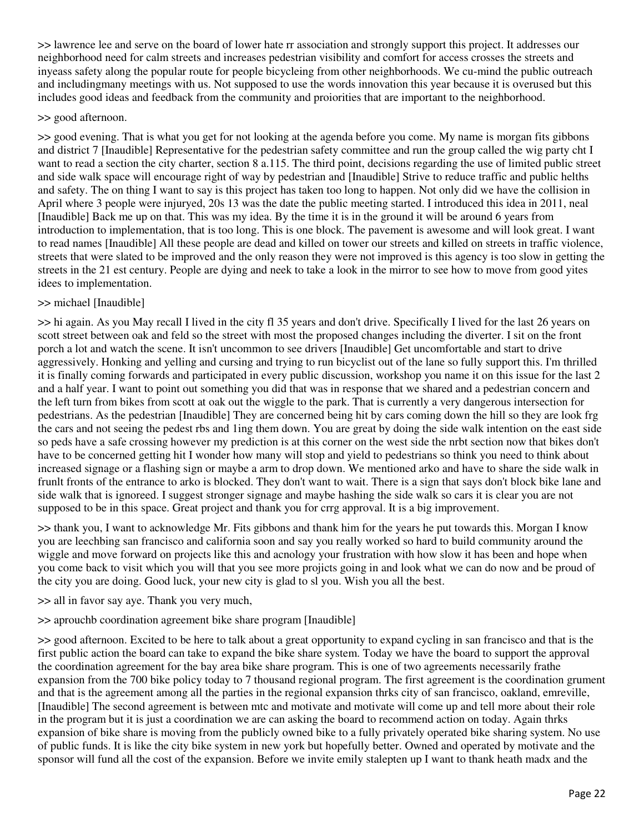>> lawrence lee and serve on the board of lower hate rr association and strongly support this project. It addresses our neighborhood need for calm streets and increases pedestrian visibility and comfort for access crosses the streets and inyeass safety along the popular route for people bicycleing from other neighborhoods. We cu-mind the public outreach and includingmany meetings with us. Not supposed to use the words innovation this year because it is overused but this includes good ideas and feedback from the community and proiorities that are important to the neighborhood.

#### >> good afternoon.

>> good evening. That is what you get for not looking at the agenda before you come. My name is morgan fits gibbons and district 7 [Inaudible] Representative for the pedestrian safety committee and run the group called the wig party cht I want to read a section the city charter, section 8 a.115. The third point, decisions regarding the use of limited public street and side walk space will encourage right of way by pedestrian and [Inaudible] Strive to reduce traffic and public helths and safety. The on thing I want to say is this project has taken too long to happen. Not only did we have the collision in April where 3 people were injuryed, 20s 13 was the date the public meeting started. I introduced this idea in 2011, neal [Inaudible] Back me up on that. This was my idea. By the time it is in the ground it will be around 6 years from introduction to implementation, that is too long. This is one block. The pavement is awesome and will look great. I want to read names [Inaudible] All these people are dead and killed on tower our streets and killed on streets in traffic violence, streets that were slated to be improved and the only reason they were not improved is this agency is too slow in getting the streets in the 21 est century. People are dying and neek to take a look in the mirror to see how to move from good yites idees to implementation.

## >> michael [Inaudible]

>> hi again. As you May recall I lived in the city fl 35 years and don't drive. Specifically I lived for the last 26 years on scott street between oak and feld so the street with most the proposed changes including the diverter. I sit on the front porch a lot and watch the scene. It isn't uncommon to see drivers [Inaudible] Get uncomfortable and start to drive aggressively. Honking and yelling and cursing and trying to run bicyclist out of the lane so fully support this. I'm thrilled it is finally coming forwards and participated in every public discussion, workshop you name it on this issue for the last 2 and a half year. I want to point out something you did that was in response that we shared and a pedestrian concern and the left turn from bikes from scott at oak out the wiggle to the park. That is currently a very dangerous intersection for pedestrians. As the pedestrian [Inaudible] They are concerned being hit by cars coming down the hill so they are look frg the cars and not seeing the pedest rbs and 1ing them down. You are great by doing the side walk intention on the east side so peds have a safe crossing however my prediction is at this corner on the west side the nrbt section now that bikes don't have to be concerned getting hit I wonder how many will stop and yield to pedestrians so think you need to think about increased signage or a flashing sign or maybe a arm to drop down. We mentioned arko and have to share the side walk in frunlt fronts of the entrance to arko is blocked. They don't want to wait. There is a sign that says don't block bike lane and side walk that is ignoreed. I suggest stronger signage and maybe hashing the side walk so cars it is clear you are not supposed to be in this space. Great project and thank you for crrg approval. It is a big improvement.

>> thank you, I want to acknowledge Mr. Fits gibbons and thank him for the years he put towards this. Morgan I know you are leechbing san francisco and california soon and say you really worked so hard to build community around the wiggle and move forward on projects like this and acnology your frustration with how slow it has been and hope when you come back to visit which you will that you see more projicts going in and look what we can do now and be proud of the city you are doing. Good luck, your new city is glad to sl you. Wish you all the best.

>> all in favor say aye. Thank you very much,

>> aprouchb coordination agreement bike share program [Inaudible]

>> good afternoon. Excited to be here to talk about a great opportunity to expand cycling in san francisco and that is the first public action the board can take to expand the bike share system. Today we have the board to support the approval the coordination agreement for the bay area bike share program. This is one of two agreements necessarily frathe expansion from the 700 bike policy today to 7 thousand regional program. The first agreement is the coordination grument and that is the agreement among all the parties in the regional expansion thrks city of san francisco, oakland, emreville, [Inaudible] The second agreement is between mtc and motivate and motivate will come up and tell more about their role in the program but it is just a coordination we are can asking the board to recommend action on today. Again thrks expansion of bike share is moving from the publicly owned bike to a fully privately operated bike sharing system. No use of public funds. It is like the city bike system in new york but hopefully better. Owned and operated by motivate and the sponsor will fund all the cost of the expansion. Before we invite emily stalepten up I want to thank heath madx and the